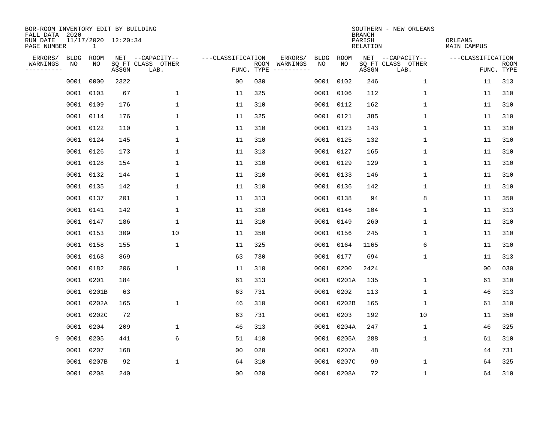| BOR-ROOM INVENTORY EDIT BY BUILDING<br>FALL DATA 2020 |             |                          |       |                           |                   |                    |                        |             | <b>BRANCH</b>             | SOUTHERN - NEW ORLEANS    |                               |                           |
|-------------------------------------------------------|-------------|--------------------------|-------|---------------------------|-------------------|--------------------|------------------------|-------------|---------------------------|---------------------------|-------------------------------|---------------------------|
| RUN DATE<br>PAGE NUMBER                               |             | 11/17/2020 12:20:34<br>1 |       |                           |                   |                    |                        |             | PARISH<br><b>RELATION</b> |                           | ORLEANS<br><b>MAIN CAMPUS</b> |                           |
| ERRORS/                                               | <b>BLDG</b> | <b>ROOM</b>              |       | NET --CAPACITY--          | ---CLASSIFICATION |                    | ERRORS/<br><b>BLDG</b> | <b>ROOM</b> |                           | NET --CAPACITY--          | ---CLASSIFICATION             |                           |
| WARNINGS<br>----------                                | NO          | NO                       | ASSGN | SQ FT CLASS OTHER<br>LAB. |                   | ROOM<br>FUNC. TYPE | NO<br>WARNINGS         | NO          | ASSGN                     | SQ FT CLASS OTHER<br>LAB. |                               | <b>ROOM</b><br>FUNC. TYPE |
|                                                       | 0001        | 0000                     | 2322  |                           | 0 <sub>0</sub>    | 030                | 0001                   | 0102        | 246                       | $\mathbf 1$               | 11                            | 313                       |
|                                                       |             | 0001 0103                | 67    | 1                         | 11                | 325                | 0001                   | 0106        | 112                       | 1                         | 11                            | 310                       |
|                                                       |             | 0001 0109                | 176   | 1                         | 11                | 310                |                        | 0001 0112   | 162                       | 1                         | 11                            | 310                       |
|                                                       |             | 0001 0114                | 176   | 1                         | 11                | 325                |                        | 0001 0121   | 385                       | 1                         | 11                            | 310                       |
|                                                       |             | 0001 0122                | 110   | 1                         | 11                | 310                |                        | 0001 0123   | 143                       | $\mathbf 1$               | 11                            | 310                       |
|                                                       |             | 0001 0124                | 145   | 1                         | 11                | 310                |                        | 0001 0125   | 132                       | 1                         | 11                            | 310                       |
|                                                       |             | 0001 0126                | 173   | 1                         | 11                | 313                |                        | 0001 0127   | 165                       | $\mathbf{1}$              | 11                            | 310                       |
|                                                       |             | 0001 0128                | 154   | 1                         | 11                | 310                |                        | 0001 0129   | 129                       | $\mathbf{1}$              | 11                            | 310                       |
|                                                       |             | 0001 0132                | 144   | $\mathbf{1}$              | 11                | 310                |                        | 0001 0133   | 146                       | $\mathbf{1}$              | 11                            | 310                       |
|                                                       |             | 0001 0135                | 142   | 1                         | 11                | 310                |                        | 0001 0136   | 142                       | 1                         | 11                            | 310                       |
|                                                       |             | 0001 0137                | 201   | $\mathbf 1$               | 11                | 313                |                        | 0001 0138   | 94                        | 8                         | 11                            | 350                       |
|                                                       |             | 0001 0141                | 142   | 1                         | 11                | 310                |                        | 0001 0146   | 104                       | 1                         | 11                            | 313                       |
|                                                       |             | 0001 0147                | 186   | $\mathbf 1$               | 11                | 310                |                        | 0001 0149   | 260                       | $\mathbf 1$               | 11                            | 310                       |
|                                                       |             | 0001 0153                | 309   | 10                        | 11                | 350                |                        | 0001 0156   | 245                       | $\mathbf 1$               | 11                            | 310                       |
|                                                       |             | 0001 0158                | 155   | 1                         | 11                | 325                | 0001                   | 0164        | 1165                      | 6                         | 11                            | 310                       |
|                                                       |             | 0001 0168                | 869   |                           | 63                | 730                | 0001                   | 0177        | 694                       | 1                         | 11                            | 313                       |
|                                                       | 0001        | 0182                     | 206   | 1                         | 11                | 310                | 0001                   | 0200        | 2424                      |                           | 00                            | 030                       |
|                                                       |             | 0001 0201                | 184   |                           | 61                | 313                | 0001                   | 0201A       | 135                       | 1                         | 61                            | 310                       |
|                                                       |             | 0001 0201B               | 63    |                           | 63                | 731                | 0001                   | 0202        | 113                       | 1                         | 46                            | 313                       |
|                                                       |             | 0001 0202A               | 165   | 1                         | 46                | 310                | 0001                   | 0202B       | 165                       | 1                         | 61                            | 310                       |
|                                                       |             | 0001 0202C               | 72    |                           | 63                | 731                | 0001                   | 0203        | 192                       | 10                        | 11                            | 350                       |
|                                                       |             | 0001 0204                | 209   | $\mathbf 1$               | 46                | 313                | 0001                   | 0204A       | 247                       | $\mathbf 1$               | 46                            | 325                       |
| 9                                                     | 0001        | 0205                     | 441   | 6                         | 51                | 410                | 0001                   | 0205A       | 288                       | 1                         | 61                            | 310                       |
|                                                       | 0001        | 0207                     | 168   |                           | 0 <sub>0</sub>    | 020                |                        | 0001 0207A  | 48                        |                           | 44                            | 731                       |
|                                                       | 0001        | 0207B                    | 92    | 1                         | 64                | 310                | 0001                   | 0207C       | 99                        | 1                         | 64                            | 325                       |
|                                                       |             | 0001 0208                | 240   |                           | 0 <sub>0</sub>    | 020                |                        | 0001 0208A  | 72                        | 1                         | 64                            | 310                       |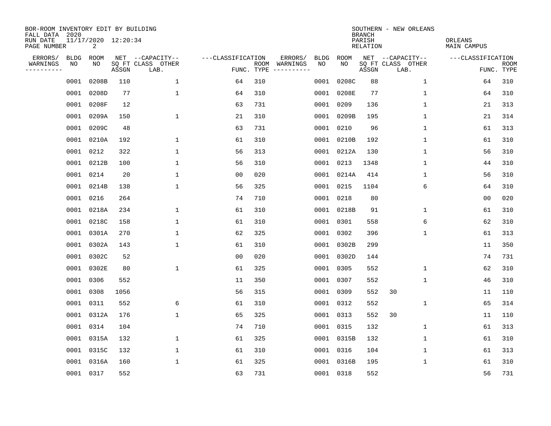| BOR-ROOM INVENTORY EDIT BY BUILDING<br>FALL DATA 2020 |             |                          |       |                           |                   |      |                                 |             |             | <b>BRANCH</b>             | SOUTHERN - NEW ORLEANS    |                               |                           |
|-------------------------------------------------------|-------------|--------------------------|-------|---------------------------|-------------------|------|---------------------------------|-------------|-------------|---------------------------|---------------------------|-------------------------------|---------------------------|
| RUN DATE<br>PAGE NUMBER                               |             | 11/17/2020 12:20:34<br>2 |       |                           |                   |      |                                 |             |             | PARISH<br><b>RELATION</b> |                           | ORLEANS<br><b>MAIN CAMPUS</b> |                           |
| ERRORS/                                               | <b>BLDG</b> | ROOM                     |       | NET --CAPACITY--          | ---CLASSIFICATION |      | ERRORS/                         | <b>BLDG</b> | <b>ROOM</b> |                           | NET --CAPACITY--          | ---CLASSIFICATION             |                           |
| WARNINGS<br>----------                                | NO          | NO                       | ASSGN | SQ FT CLASS OTHER<br>LAB. |                   | ROOM | WARNINGS<br>FUNC. TYPE $------$ | NO          | NO          | ASSGN                     | SQ FT CLASS OTHER<br>LAB. |                               | <b>ROOM</b><br>FUNC. TYPE |
|                                                       | 0001        | 0208B                    | 110   | 1                         | 64                | 310  |                                 | 0001        | 0208C       | 88                        | $\mathbf 1$               | 64                            | 310                       |
|                                                       | 0001        | 0208D                    | 77    | $\mathbf 1$               | 64                | 310  |                                 |             | 0001 0208E  | 77                        | 1                         | 64                            | 310                       |
|                                                       | 0001        | 0208F                    | 12    |                           | 63                | 731  |                                 |             | 0001 0209   | 136                       | $\mathbf 1$               | 21                            | 313                       |
|                                                       | 0001        | 0209A                    | 150   | $\mathbf{1}$              | 21                | 310  |                                 |             | 0001 0209B  | 195                       | $\mathbf 1$               | 21                            | 314                       |
|                                                       | 0001        | 0209C                    | 48    |                           | 63                | 731  |                                 |             | 0001 0210   | 96                        | $\mathbf 1$               | 61                            | 313                       |
|                                                       | 0001        | 0210A                    | 192   | $\mathbf{1}$              | 61                | 310  |                                 |             | 0001 0210B  | 192                       | $\mathbf 1$               | 61                            | 310                       |
|                                                       | 0001        | 0212                     | 322   | $\mathbf 1$               | 56                | 313  |                                 |             | 0001 0212A  | 130                       | $\mathbf{1}$              | 56                            | 310                       |
|                                                       | 0001        | 0212B                    | 100   | $\mathbf{1}$              | 56                | 310  |                                 |             | 0001 0213   | 1348                      | 1                         | 44                            | 310                       |
|                                                       | 0001        | 0214                     | 20    | 1                         | 0 <sub>0</sub>    | 020  |                                 |             | 0001 0214A  | 414                       | 1                         | 56                            | 310                       |
|                                                       | 0001        | 0214B                    | 138   | $\mathbf{1}$              | 56                | 325  |                                 |             | 0001 0215   | 1104                      | 6                         | 64                            | 310                       |
|                                                       | 0001        | 0216                     | 264   |                           | 74                | 710  |                                 |             | 0001 0218   | 80                        |                           | 0 <sub>0</sub>                | 020                       |
|                                                       | 0001        | 0218A                    | 234   | 1                         | 61                | 310  |                                 |             | 0001 0218B  | 91                        | 1                         | 61                            | 310                       |
|                                                       | 0001        | 0218C                    | 158   | 1                         | 61                | 310  |                                 |             | 0001 0301   | 558                       | 6                         | 62                            | 310                       |
|                                                       | 0001        | 0301A                    | 270   | 1                         | 62                | 325  |                                 |             | 0001 0302   | 396                       | 1                         | 61                            | 313                       |
|                                                       | 0001        | 0302A                    | 143   | $\mathbf 1$               | 61                | 310  |                                 |             | 0001 0302B  | 299                       |                           | 11                            | 350                       |
|                                                       | 0001        | 0302C                    | 52    |                           | 0 <sub>0</sub>    | 020  |                                 |             | 0001 0302D  | 144                       |                           | 74                            | 731                       |
|                                                       | 0001        | 0302E                    | 80    | $\mathbf{1}$              | 61                | 325  |                                 |             | 0001 0305   | 552                       | 1                         | 62                            | 310                       |
|                                                       | 0001        | 0306                     | 552   |                           | 11                | 350  |                                 |             | 0001 0307   | 552                       | 1                         | 46                            | 310                       |
|                                                       | 0001        | 0308                     | 1056  |                           | 56                | 315  |                                 |             | 0001 0309   | 552                       | 30                        | 11                            | 110                       |
|                                                       | 0001        | 0311                     | 552   | 6                         | 61                | 310  |                                 |             | 0001 0312   | 552                       | 1                         | 65                            | 314                       |
|                                                       | 0001        | 0312A                    | 176   | 1                         | 65                | 325  |                                 |             | 0001 0313   | 552                       | 30                        | 11                            | 110                       |
|                                                       | 0001        | 0314                     | 104   |                           | 74                | 710  |                                 |             | 0001 0315   | 132                       | 1                         | 61                            | 313                       |
|                                                       | 0001        | 0315A                    | 132   | 1                         | 61                | 325  |                                 |             | 0001 0315B  | 132                       | 1                         | 61                            | 310                       |
|                                                       | 0001        | 0315C                    | 132   | $\mathbf 1$               | 61                | 310  |                                 |             | 0001 0316   | 104                       | $\mathbf 1$               | 61                            | 313                       |
|                                                       | 0001        | 0316A                    | 160   | $\mathbf{1}$              | 61                | 325  |                                 |             | 0001 0316B  | 195                       | 1                         | 61                            | 310                       |
|                                                       | 0001 0317   |                          | 552   |                           | 63                | 731  |                                 |             | 0001 0318   | 552                       |                           | 56                            | 731                       |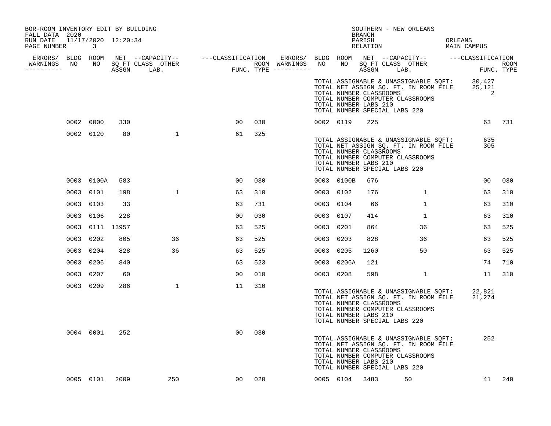| BOR-ROOM INVENTORY EDIT BY BUILDING<br>FALL DATA 2020 |                            |      |              |                 |     |           |                | BRANCH                                                                            | SOUTHERN - NEW ORLEANS                                                                                                                              |                                                                                                   |        |
|-------------------------------------------------------|----------------------------|------|--------------|-----------------|-----|-----------|----------------|-----------------------------------------------------------------------------------|-----------------------------------------------------------------------------------------------------------------------------------------------------|---------------------------------------------------------------------------------------------------|--------|
| RUN DATE 11/17/2020 12:20:34<br>PAGE NUMBER           | $\overline{\phantom{a}}$ 3 |      |              |                 |     |           |                | PARISH<br>RELATION                                                                |                                                                                                                                                     | ORLEANS<br>MAIN CAMPUS                                                                            |        |
|                                                       |                            |      |              |                 |     |           |                |                                                                                   |                                                                                                                                                     |                                                                                                   |        |
| WARNINGS<br>----------                                |                            |      |              |                 |     |           |                |                                                                                   |                                                                                                                                                     | FUNC. TYPE                                                                                        | ROOM   |
|                                                       |                            |      |              |                 |     |           |                | TOTAL NUMBER CLASSROOMS<br>TOTAL NUMBER LABS 210                                  | TOTAL NUMBER COMPUTER CLASSROOMS<br>TOTAL NUMBER SPECIAL LABS 220                                                                                   | TOTAL ASSIGNABLE & UNASSIGNABLE SQFT: 30,427<br>TOTAL NET ASSIGN SQ. FT. IN ROOM FILE 25,121<br>2 |        |
|                                                       | 0002 0000                  | 330  |              | 00              | 030 |           | 0002 0119      | 225                                                                               |                                                                                                                                                     |                                                                                                   | 63 731 |
|                                                       | 0002 0120                  | 80   | $\mathbf{1}$ | 61              | 325 |           |                | TOTAL NUMBER CLASSROOMS<br>TOTAL NUMBER LABS 210                                  | TOTAL ASSIGNABLE & UNASSIGNABLE SQFT:<br>TOTAL NET ASSIGN SQ. FT. IN ROOM FILE<br>TOTAL NUMBER COMPUTER CLASSROOMS<br>TOTAL NUMBER SPECIAL LABS 220 | 635<br>305                                                                                        |        |
|                                                       | 0003 0100A                 | 583  |              | 00              | 030 |           | 0003 0100B     | 676                                                                               |                                                                                                                                                     | 00                                                                                                | 030    |
|                                                       | 0003 0101                  | 198  | $\mathbf{1}$ | 63              | 310 | 0003 0102 |                | 176                                                                               | $\mathbf{1}$                                                                                                                                        | 63                                                                                                | 310    |
|                                                       | 0003 0103                  | 33   |              | 63              | 731 |           | 0003 0104      | 66                                                                                | $\mathbf{1}$                                                                                                                                        | 63                                                                                                | 310    |
|                                                       | 0003 0106                  | 228  |              | 0 <sub>0</sub>  | 030 |           | 0003 0107      | 414                                                                               | $\mathbf{1}$                                                                                                                                        | 63                                                                                                | 310    |
|                                                       | 0003 0111 13957            |      |              | 63              | 525 |           | 0003 0201      | 864                                                                               | 36                                                                                                                                                  | 63                                                                                                | 525    |
|                                                       | 0003 0202                  | 805  | 36           | 63              | 525 | 0003 0203 |                | 828                                                                               | 36                                                                                                                                                  | 63                                                                                                | 525    |
|                                                       | 0003 0204                  | 828  | 36           | 63              | 525 | 0003 0205 |                | 1260                                                                              | 50                                                                                                                                                  | 63                                                                                                | 525    |
|                                                       | 0003 0206                  | 840  |              | 63              | 523 | 0003      | 0206A          | 121                                                                               |                                                                                                                                                     | 74                                                                                                | 710    |
|                                                       | 0003 0207                  | 60   |              | 00              | 010 |           | 0003 0208      | 598                                                                               | 1                                                                                                                                                   | 11                                                                                                | 310    |
|                                                       | 0003 0209                  | 286  | $\mathbf{1}$ | 11              | 310 |           |                | TOTAL NUMBER CLASSROOMS<br>TOTAL NUMBER LABS 210<br>TOTAL NUMBER SPECIAL LABS 220 | TOTAL ASSIGNABLE & UNASSIGNABLE SQFT:<br>TOTAL NET ASSIGN SQ. FT. IN ROOM FILE<br>TOTAL NUMBER COMPUTER CLASSROOMS                                  | 22,821<br>21,274                                                                                  |        |
|                                                       | 0004 0001                  | 252  |              | 00              | 030 |           |                | TOTAL NUMBER CLASSROOMS<br>TOTAL NUMBER LABS 210<br>TOTAL NUMBER SPECIAL LABS 220 | TOTAL ASSIGNABLE & UNASSIGNABLE SQFT:<br>TOTAL NET ASSIGN SQ. FT. IN ROOM FILE<br>TOTAL NUMBER COMPUTER CLASSROOMS                                  | 252                                                                                               |        |
|                                                       | 0005 0101                  | 2009 | 250          | 00 <sub>o</sub> | 020 |           | 0005 0104 3483 |                                                                                   | 50                                                                                                                                                  | 41                                                                                                | 240    |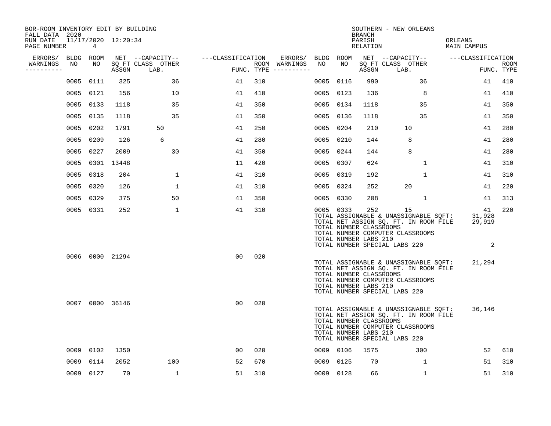| BOR-ROOM INVENTORY EDIT BY BUILDING<br>FALL DATA 2020 |      |           |                     |                           |                   |     |                                      |           |           | <b>BRANCH</b>                                           | SOUTHERN - NEW ORLEANS                                                                                                                                    |                               |                           |
|-------------------------------------------------------|------|-----------|---------------------|---------------------------|-------------------|-----|--------------------------------------|-----------|-----------|---------------------------------------------------------|-----------------------------------------------------------------------------------------------------------------------------------------------------------|-------------------------------|---------------------------|
| RUN DATE<br>PAGE NUMBER                               |      | 4         | 11/17/2020 12:20:34 |                           |                   |     |                                      |           |           | PARISH<br>RELATION                                      |                                                                                                                                                           | ORLEANS<br><b>MAIN CAMPUS</b> |                           |
| ERRORS/                                               |      | BLDG ROOM |                     | NET --CAPACITY--          | ---CLASSIFICATION |     | ERRORS/                              | BLDG ROOM |           |                                                         | NET --CAPACITY--                                                                                                                                          | ---CLASSIFICATION             |                           |
| WARNINGS<br>----------                                | NO   | NO        | ASSGN               | SO FT CLASS OTHER<br>LAB. |                   |     | ROOM WARNINGS<br>FUNC. TYPE $------$ | NO        | NO        | ASSGN                                                   | SQ FT CLASS OTHER<br>LAB.                                                                                                                                 |                               | <b>ROOM</b><br>FUNC. TYPE |
|                                                       | 0005 | 0111      | 325                 | 36                        | 41                | 310 |                                      | 0005      | 0116      | 990                                                     | 36                                                                                                                                                        | 41                            | 410                       |
|                                                       | 0005 | 0121      | 156                 | 10                        | 41                | 410 |                                      | 0005      | 0123      | 136                                                     | 8                                                                                                                                                         | 41                            | 410                       |
|                                                       | 0005 | 0133      | 1118                | 35                        | 41                | 350 |                                      | 0005      | 0134      | 1118                                                    | 35                                                                                                                                                        | 41                            | 350                       |
|                                                       | 0005 | 0135      | 1118                | 35                        | 41                | 350 |                                      | 0005      | 0136      | 1118                                                    | 35                                                                                                                                                        | 41                            | 350                       |
|                                                       | 0005 | 0202      | 1791                | 50                        | 41                | 250 |                                      | 0005      | 0204      | 210                                                     | 10                                                                                                                                                        | 41                            | 280                       |
|                                                       | 0005 | 0209      | 126                 | 6                         | 41                | 280 |                                      | 0005      | 0210      | 144                                                     | 8                                                                                                                                                         | 41                            | 280                       |
|                                                       | 0005 | 0227      | 2009                | 30                        | 41                | 350 |                                      | 0005      | 0244      | 144                                                     | 8                                                                                                                                                         | 41                            | 280                       |
|                                                       | 0005 |           | 0301 13448          |                           | 11                | 420 |                                      | 0005      | 0307      | 624                                                     | $\mathbf{1}$                                                                                                                                              | 41                            | 310                       |
|                                                       | 0005 | 0318      | 204                 | 1                         | 41                | 310 |                                      | 0005      | 0319      | 192                                                     | $\mathbf 1$                                                                                                                                               | 41                            | 310                       |
|                                                       |      | 0005 0320 | 126                 | $\mathbf 1$               | 41                | 310 |                                      |           | 0005 0324 | 252                                                     | 20                                                                                                                                                        | 41                            | 220                       |
|                                                       | 0005 | 0329      | 375                 | 50                        | 41                | 350 |                                      |           | 0005 0330 | 208                                                     | $\mathbf{1}$                                                                                                                                              | 41                            | 313                       |
|                                                       |      | 0005 0331 | 252                 | $\mathbf{1}$              | 41                | 310 |                                      |           | 0005 0333 | 252<br>TOTAL NUMBER CLASSROOMS<br>TOTAL NUMBER LABS 210 | 15<br>TOTAL ASSIGNABLE & UNASSIGNABLE SQFT:<br>TOTAL NET ASSIGN SQ. FT. IN ROOM FILE<br>TOTAL NUMBER COMPUTER CLASSROOMS<br>TOTAL NUMBER SPECIAL LABS 220 | 41<br>31,928<br>29,919<br>2   | 220                       |
|                                                       |      |           | 0006 0000 21294     |                           | 0 <sub>0</sub>    | 020 |                                      |           |           | TOTAL NUMBER CLASSROOMS<br>TOTAL NUMBER LABS 210        | TOTAL ASSIGNABLE & UNASSIGNABLE SQFT:<br>TOTAL NET ASSIGN SQ. FT. IN ROOM FILE<br>TOTAL NUMBER COMPUTER CLASSROOMS<br>TOTAL NUMBER SPECIAL LABS 220       | 21,294                        |                           |
|                                                       |      |           | 0007 0000 36146     |                           | 00                | 020 |                                      |           |           | TOTAL NUMBER CLASSROOMS<br>TOTAL NUMBER LABS 210        | TOTAL ASSIGNABLE & UNASSIGNABLE SOFT:<br>TOTAL NET ASSIGN SQ. FT. IN ROOM FILE<br>TOTAL NUMBER COMPUTER CLASSROOMS<br>TOTAL NUMBER SPECIAL LABS 220       | 36,146                        |                           |
|                                                       | 0009 | 0102      | 1350                |                           | 00                | 020 |                                      |           | 0009 0106 | 1575                                                    | 300                                                                                                                                                       | 52                            | 610                       |
|                                                       | 0009 | 0114      | 2052                | 100                       | 52                | 670 |                                      | 0009      | 0125      | 70                                                      | 1                                                                                                                                                         | 51                            | 310                       |
|                                                       |      | 0009 0127 | 70                  | $\mathbf{1}$              | 51                | 310 |                                      |           | 0009 0128 | 66                                                      | $\mathbf{1}$                                                                                                                                              | 51                            | 310                       |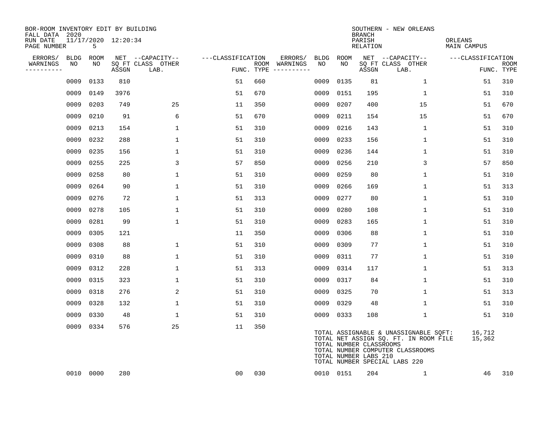| BOR-ROOM INVENTORY EDIT BY BUILDING<br>FALL DATA 2020 |                          |       |                           |                   |     |                                      |      |           | <b>BRANCH</b>                                    | SOUTHERN - NEW ORLEANS                                                                                                                              |                               |                           |
|-------------------------------------------------------|--------------------------|-------|---------------------------|-------------------|-----|--------------------------------------|------|-----------|--------------------------------------------------|-----------------------------------------------------------------------------------------------------------------------------------------------------|-------------------------------|---------------------------|
| RUN DATE<br>PAGE NUMBER                               | 11/17/2020 12:20:34<br>5 |       |                           |                   |     |                                      |      |           | PARISH<br>RELATION                               |                                                                                                                                                     | ORLEANS<br><b>MAIN CAMPUS</b> |                           |
| ERRORS/<br>BLDG                                       | ROOM                     |       | NET --CAPACITY--          | ---CLASSIFICATION |     | ERRORS/                              | BLDG | ROOM      |                                                  | NET --CAPACITY--                                                                                                                                    | ---CLASSIFICATION             |                           |
| WARNINGS<br>NO<br>----------                          | NO                       | ASSGN | SQ FT CLASS OTHER<br>LAB. |                   |     | ROOM WARNINGS<br>FUNC. TYPE $------$ | NO   | NO        | ASSGN                                            | SQ FT CLASS OTHER<br>LAB.                                                                                                                           |                               | <b>ROOM</b><br>FUNC. TYPE |
| 0009                                                  | 0133                     | 810   |                           | 51                | 660 |                                      | 0009 | 0135      | 81                                               | 1                                                                                                                                                   | 51                            | 310                       |
| 0009                                                  | 0149                     | 3976  |                           | 51                | 670 |                                      | 0009 | 0151      | 195                                              | $\mathbf{1}$                                                                                                                                        | 51                            | 310                       |
| 0009                                                  | 0203                     | 749   | 25                        | 11                | 350 |                                      | 0009 | 0207      | 400                                              | 15                                                                                                                                                  | 51                            | 670                       |
| 0009                                                  | 0210                     | 91    | 6                         | 51                | 670 |                                      | 0009 | 0211      | 154                                              | 15                                                                                                                                                  | 51                            | 670                       |
| 0009                                                  | 0213                     | 154   | $\mathbf{1}$              | 51                | 310 |                                      | 0009 | 0216      | 143                                              | $\mathbf{1}$                                                                                                                                        | 51                            | 310                       |
| 0009                                                  | 0232                     | 288   | $\mathbf{1}$              | 51                | 310 |                                      | 0009 | 0233      | 156                                              | $\mathbf 1$                                                                                                                                         | 51                            | 310                       |
| 0009                                                  | 0235                     | 156   | $\mathbf{1}$              | 51                | 310 |                                      | 0009 | 0236      | 144                                              | $\mathbf{1}$                                                                                                                                        | 51                            | 310                       |
| 0009                                                  | 0255                     | 225   | 3                         | 57                | 850 |                                      | 0009 | 0256      | 210                                              | 3                                                                                                                                                   | 57                            | 850                       |
| 0009                                                  | 0258                     | 80    | $\mathbf{1}$              | 51                | 310 |                                      | 0009 | 0259      | 80                                               | $\mathbf 1$                                                                                                                                         | 51                            | 310                       |
| 0009                                                  | 0264                     | 90    | $\mathbf{1}$              | 51                | 310 |                                      | 0009 | 0266      | 169                                              | $\mathbf{1}$                                                                                                                                        | 51                            | 313                       |
| 0009                                                  | 0276                     | 72    | 1                         | 51                | 313 |                                      | 0009 | 0277      | 80                                               | 1                                                                                                                                                   | 51                            | 310                       |
| 0009                                                  | 0278                     | 105   | 1                         | 51                | 310 |                                      | 0009 | 0280      | 108                                              | 1                                                                                                                                                   | 51                            | 310                       |
| 0009                                                  | 0281                     | 99    | $\mathbf{1}$              | 51                | 310 |                                      | 0009 | 0283      | 165                                              | $\mathbf{1}$                                                                                                                                        | 51                            | 310                       |
| 0009                                                  | 0305                     | 121   |                           | 11                | 350 |                                      | 0009 | 0306      | 88                                               | 1                                                                                                                                                   | 51                            | 310                       |
| 0009                                                  | 0308                     | 88    | $\mathbf{1}$              | 51                | 310 |                                      | 0009 | 0309      | 77                                               | 1                                                                                                                                                   | 51                            | 310                       |
| 0009                                                  | 0310                     | 88    | $\mathbf{1}$              | 51                | 310 |                                      | 0009 | 0311      | 77                                               | $\mathbf{1}$                                                                                                                                        | 51                            | 310                       |
| 0009                                                  | 0312                     | 228   | 1                         | 51                | 313 |                                      | 0009 | 0314      | 117                                              | 1                                                                                                                                                   | 51                            | 313                       |
| 0009                                                  | 0315                     | 323   | $\mathbf 1$               | 51                | 310 |                                      | 0009 | 0317      | 84                                               | $\mathbf 1$                                                                                                                                         | 51                            | 310                       |
| 0009                                                  | 0318                     | 276   | 2                         | 51                | 310 |                                      | 0009 | 0325      | 70                                               | $\mathbf{1}$                                                                                                                                        | 51                            | 313                       |
| 0009                                                  | 0328                     | 132   | $\mathbf{1}$              | 51                | 310 |                                      | 0009 | 0329      | 48                                               | $\mathbf 1$                                                                                                                                         | 51                            | 310                       |
| 0009                                                  | 0330                     | 48    | $\mathbf{1}$              | 51                | 310 |                                      |      | 0009 0333 | 108                                              | $\mathbf{1}$                                                                                                                                        | 51                            | 310                       |
|                                                       | 0009 0334                | 576   | 25                        | 11                | 350 |                                      |      |           | TOTAL NUMBER CLASSROOMS<br>TOTAL NUMBER LABS 210 | TOTAL ASSIGNABLE & UNASSIGNABLE SQFT:<br>TOTAL NET ASSIGN SQ. FT. IN ROOM FILE<br>TOTAL NUMBER COMPUTER CLASSROOMS<br>TOTAL NUMBER SPECIAL LABS 220 | 16,712<br>15,362              |                           |
|                                                       | 0010 0000                | 280   |                           | 00                | 030 |                                      |      | 0010 0151 | 204                                              | $\mathbf{1}$                                                                                                                                        | 46                            | 310                       |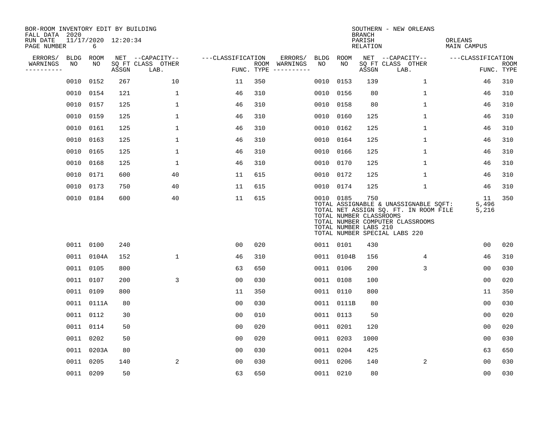| BOR-ROOM INVENTORY EDIT BY BUILDING<br>FALL DATA 2020 |             |            |                     |                           |                   |     |                                      |      |            | <b>BRANCH</b>                                           | SOUTHERN - NEW ORLEANS                                                                                                                              |                               |                           |
|-------------------------------------------------------|-------------|------------|---------------------|---------------------------|-------------------|-----|--------------------------------------|------|------------|---------------------------------------------------------|-----------------------------------------------------------------------------------------------------------------------------------------------------|-------------------------------|---------------------------|
| RUN DATE<br>PAGE NUMBER                               |             | 6          | 11/17/2020 12:20:34 |                           |                   |     |                                      |      |            | PARISH<br><b>RELATION</b>                               |                                                                                                                                                     | ORLEANS<br><b>MAIN CAMPUS</b> |                           |
| ERRORS/                                               | <b>BLDG</b> | ROOM       |                     | NET --CAPACITY--          | ---CLASSIFICATION |     | ERRORS/                              | BLDG | ROOM       |                                                         | NET --CAPACITY--                                                                                                                                    | ---CLASSIFICATION             |                           |
| WARNINGS<br>----------                                | NO          | NO         | ASSGN               | SO FT CLASS OTHER<br>LAB. |                   |     | ROOM WARNINGS<br>FUNC. TYPE $------$ | NO   | NO         | ASSGN                                                   | SQ FT CLASS OTHER<br>LAB.                                                                                                                           |                               | <b>ROOM</b><br>FUNC. TYPE |
|                                                       | 0010        | 0152       | 267                 | 10                        | 11                | 350 |                                      | 0010 | 0153       | 139                                                     | $\mathbf 1$                                                                                                                                         | 46                            | 310                       |
|                                                       |             | 0010 0154  | 121                 | $\mathbf{1}$              | 46                | 310 |                                      | 0010 | 0156       | 80                                                      | $\mathbf 1$                                                                                                                                         | 46                            | 310                       |
|                                                       |             | 0010 0157  | 125                 | 1                         | 46                | 310 |                                      | 0010 | 0158       | 80                                                      | $\mathbf{1}$                                                                                                                                        | 46                            | 310                       |
|                                                       | 0010        | 0159       | 125                 | $\mathbf 1$               | 46                | 310 |                                      | 0010 | 0160       | 125                                                     | $\mathbf 1$                                                                                                                                         | 46                            | 310                       |
|                                                       | 0010        | 0161       | 125                 | $\mathbf 1$               | 46                | 310 |                                      | 0010 | 0162       | 125                                                     | $\mathbf{1}$                                                                                                                                        | 46                            | 310                       |
|                                                       |             | 0010 0163  | 125                 | $\mathbf 1$               | 46                | 310 |                                      |      | 0010 0164  | 125                                                     | $\mathbf{1}$                                                                                                                                        | 46                            | 310                       |
|                                                       | 0010        | 0165       | 125                 | $\mathbf{1}$              | 46                | 310 |                                      | 0010 | 0166       | 125                                                     | $\mathbf{1}$                                                                                                                                        | 46                            | 310                       |
|                                                       |             | 0010 0168  | 125                 | $\mathbf{1}$              | 46                | 310 |                                      |      | 0010 0170  | 125                                                     | $\mathbf{1}$                                                                                                                                        | 46                            | 310                       |
|                                                       | 0010        | 0171       | 600                 | 40                        | 11                | 615 |                                      | 0010 | 0172       | 125                                                     | $\mathbf 1$                                                                                                                                         | 46                            | 310                       |
|                                                       |             | 0010 0173  | 750                 | 40                        | 11                | 615 |                                      |      | 0010 0174  | 125                                                     | $\mathbf 1$                                                                                                                                         | 46                            | 310                       |
|                                                       |             | 0010 0184  | 600                 | 40                        | 11                | 615 |                                      |      | 0010 0185  | 750<br>TOTAL NUMBER CLASSROOMS<br>TOTAL NUMBER LABS 210 | TOTAL ASSIGNABLE & UNASSIGNABLE SQFT:<br>TOTAL NET ASSIGN SQ. FT. IN ROOM FILE<br>TOTAL NUMBER COMPUTER CLASSROOMS<br>TOTAL NUMBER SPECIAL LABS 220 | 11<br>5,496<br>5,216          | 350                       |
|                                                       |             | 0011 0100  | 240                 |                           | 0 <sub>0</sub>    | 020 |                                      |      | 0011 0101  | 430                                                     |                                                                                                                                                     | 0 <sub>0</sub>                | 020                       |
|                                                       |             | 0011 0104A | 152                 | $\mathbf{1}$              | 46                | 310 |                                      |      | 0011 0104B | 156                                                     | 4                                                                                                                                                   | 46                            | 310                       |
|                                                       |             | 0011 0105  | 800                 |                           | 63                | 650 |                                      |      | 0011 0106  | 200                                                     | 3                                                                                                                                                   | 0 <sub>0</sub>                | 030                       |
|                                                       |             | 0011 0107  | 200                 | 3                         | 0 <sub>0</sub>    | 030 |                                      |      | 0011 0108  | 100                                                     |                                                                                                                                                     | 0 <sub>0</sub>                | 020                       |
|                                                       |             | 0011 0109  | 800                 |                           | 11                | 350 |                                      |      | 0011 0110  | 800                                                     |                                                                                                                                                     | 11                            | 350                       |
|                                                       |             | 0011 0111A | 80                  |                           | 0 <sub>0</sub>    | 030 |                                      |      | 0011 0111B | 80                                                      |                                                                                                                                                     | 0 <sub>0</sub>                | 030                       |
|                                                       |             | 0011 0112  | 30                  |                           | 0 <sub>0</sub>    | 010 |                                      |      | 0011 0113  | 50                                                      |                                                                                                                                                     | 0 <sub>0</sub>                | 020                       |
|                                                       |             | 0011 0114  | 50                  |                           | 00                | 020 |                                      |      | 0011 0201  | 120                                                     |                                                                                                                                                     | 0 <sub>0</sub>                | 020                       |
|                                                       |             | 0011 0202  | 50                  |                           | 0 <sub>0</sub>    | 020 |                                      |      | 0011 0203  | 1000                                                    |                                                                                                                                                     | 0 <sub>0</sub>                | 030                       |
|                                                       |             | 0011 0203A | 80                  |                           | 0 <sub>0</sub>    | 030 |                                      |      | 0011 0204  | 425                                                     |                                                                                                                                                     | 63                            | 650                       |
|                                                       |             | 0011 0205  | 140                 | 2                         | 0 <sub>0</sub>    | 030 |                                      |      | 0011 0206  | 140                                                     | 2                                                                                                                                                   | 0 <sub>0</sub>                | 030                       |
|                                                       |             | 0011 0209  | 50                  |                           | 63                | 650 |                                      |      | 0011 0210  | 80                                                      |                                                                                                                                                     | 0 <sub>0</sub>                | 030                       |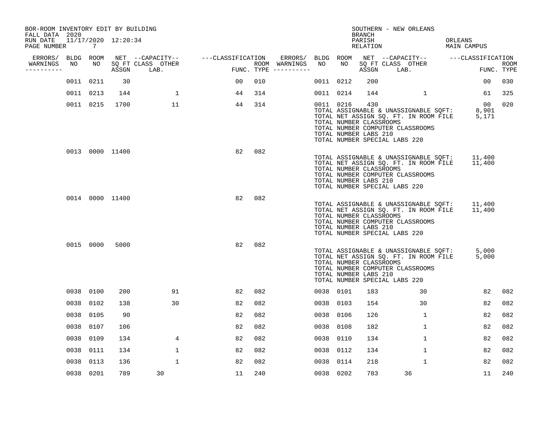| PAGE NUMBER            | $\overline{7}$       |                                                                                                                                              |                                    |                                                                                          |                  |                   |               |                                       |                                                                                                                    |                         |                                                                                                                                                                                                                          |                                                                                                                                                                     |                                                                                                                                                                        |                                                                                                                                                                                                                                                                                                                                                                                                                                                                                       |
|------------------------|----------------------|----------------------------------------------------------------------------------------------------------------------------------------------|------------------------------------|------------------------------------------------------------------------------------------|------------------|-------------------|---------------|---------------------------------------|--------------------------------------------------------------------------------------------------------------------|-------------------------|--------------------------------------------------------------------------------------------------------------------------------------------------------------------------------------------------------------------------|---------------------------------------------------------------------------------------------------------------------------------------------------------------------|------------------------------------------------------------------------------------------------------------------------------------------------------------------------|---------------------------------------------------------------------------------------------------------------------------------------------------------------------------------------------------------------------------------------------------------------------------------------------------------------------------------------------------------------------------------------------------------------------------------------------------------------------------------------|
| ERRORS/                |                      |                                                                                                                                              |                                    |                                                                                          |                  |                   |               |                                       |                                                                                                                    |                         |                                                                                                                                                                                                                          |                                                                                                                                                                     |                                                                                                                                                                        |                                                                                                                                                                                                                                                                                                                                                                                                                                                                                       |
| WARNINGS<br>---------- |                      |                                                                                                                                              | LAB.                               |                                                                                          |                  |                   |               |                                       | ASSGN                                                                                                              |                         |                                                                                                                                                                                                                          |                                                                                                                                                                     |                                                                                                                                                                        | <b>ROOM</b><br>FUNC. TYPE                                                                                                                                                                                                                                                                                                                                                                                                                                                             |
|                        |                      | 30                                                                                                                                           |                                    | 00                                                                                       | 010              |                   |               |                                       | 200                                                                                                                |                         |                                                                                                                                                                                                                          |                                                                                                                                                                     | 00                                                                                                                                                                     | 030                                                                                                                                                                                                                                                                                                                                                                                                                                                                                   |
|                        |                      | 144                                                                                                                                          | $\mathbf 1$                        | 44                                                                                       | 314              |                   |               |                                       | 144                                                                                                                |                         | 1                                                                                                                                                                                                                        |                                                                                                                                                                     | 61                                                                                                                                                                     | 325                                                                                                                                                                                                                                                                                                                                                                                                                                                                                   |
|                        |                      | 1700                                                                                                                                         | 11                                 | 44                                                                                       | 314              |                   |               |                                       | 430                                                                                                                |                         |                                                                                                                                                                                                                          |                                                                                                                                                                     |                                                                                                                                                                        | 020                                                                                                                                                                                                                                                                                                                                                                                                                                                                                   |
|                        |                      |                                                                                                                                              |                                    | 82                                                                                       | 082              |                   |               |                                       |                                                                                                                    |                         |                                                                                                                                                                                                                          |                                                                                                                                                                     |                                                                                                                                                                        |                                                                                                                                                                                                                                                                                                                                                                                                                                                                                       |
|                        |                      |                                                                                                                                              |                                    | 82                                                                                       | 082              |                   |               |                                       |                                                                                                                    |                         |                                                                                                                                                                                                                          |                                                                                                                                                                     |                                                                                                                                                                        |                                                                                                                                                                                                                                                                                                                                                                                                                                                                                       |
|                        |                      | 5000                                                                                                                                         |                                    | 82                                                                                       | 082              |                   |               |                                       |                                                                                                                    |                         |                                                                                                                                                                                                                          |                                                                                                                                                                     |                                                                                                                                                                        |                                                                                                                                                                                                                                                                                                                                                                                                                                                                                       |
|                        |                      | 200                                                                                                                                          | 91                                 | 82                                                                                       | 082              |                   |               |                                       | 183                                                                                                                |                         | 30                                                                                                                                                                                                                       |                                                                                                                                                                     | 82                                                                                                                                                                     | 082                                                                                                                                                                                                                                                                                                                                                                                                                                                                                   |
|                        |                      | 138                                                                                                                                          | 30                                 | 82                                                                                       | 082              |                   |               |                                       | 154                                                                                                                |                         | 30                                                                                                                                                                                                                       |                                                                                                                                                                     | 82                                                                                                                                                                     | 082                                                                                                                                                                                                                                                                                                                                                                                                                                                                                   |
|                        |                      | 90                                                                                                                                           |                                    | 82                                                                                       | 082              |                   |               |                                       | 126                                                                                                                |                         | $\mathbf{1}$                                                                                                                                                                                                             |                                                                                                                                                                     | 82                                                                                                                                                                     | 082                                                                                                                                                                                                                                                                                                                                                                                                                                                                                   |
|                        | 0107                 | 106                                                                                                                                          |                                    | 82                                                                                       | 082              |                   | 0038          | 0108                                  | 182                                                                                                                |                         | 1                                                                                                                                                                                                                        |                                                                                                                                                                     | 82                                                                                                                                                                     | 082                                                                                                                                                                                                                                                                                                                                                                                                                                                                                   |
| 0038                   | 0109                 | 134                                                                                                                                          | 4                                  | 82                                                                                       | 082              |                   | 0038          | 0110                                  | 134                                                                                                                |                         | $\mathbf{1}$                                                                                                                                                                                                             |                                                                                                                                                                     | 82                                                                                                                                                                     | 082                                                                                                                                                                                                                                                                                                                                                                                                                                                                                   |
|                        |                      | 134                                                                                                                                          | 1                                  | 82                                                                                       | 082              |                   |               | 0112                                  | 134                                                                                                                |                         | 1                                                                                                                                                                                                                        |                                                                                                                                                                     | 82                                                                                                                                                                     | 082                                                                                                                                                                                                                                                                                                                                                                                                                                                                                   |
| 0038                   | 0113                 | 136                                                                                                                                          | $\mathbf{1}$                       | 82                                                                                       | 082              |                   | 0038          | 0114                                  | 218                                                                                                                |                         | $\mathbf{1}$                                                                                                                                                                                                             |                                                                                                                                                                     | 82                                                                                                                                                                     | 082                                                                                                                                                                                                                                                                                                                                                                                                                                                                                   |
|                        |                      | 789                                                                                                                                          | 30                                 | 11                                                                                       | 240              |                   |               |                                       | 783                                                                                                                |                         |                                                                                                                                                                                                                          |                                                                                                                                                                     | 11                                                                                                                                                                     | 240                                                                                                                                                                                                                                                                                                                                                                                                                                                                                   |
|                        | FALL DATA 2020<br>NO | BLDG ROOM<br>NO<br>0011 0211<br>0011 0213<br>0011 0215<br>0015 0000<br>0038 0100<br>0038 0102<br>0038 0105<br>0038<br>0038 0111<br>0038 0201 | 0013 0000 11400<br>0014 0000 11400 | BOR-ROOM INVENTORY EDIT BY BUILDING<br>11/17/2020 12:20:34<br>SO FT CLASS OTHER<br>ASSGN | NET --CAPACITY-- | ---CLASSIFICATION | ROOM WARNINGS | ERRORS/<br>NO.<br>FUNC. TYPE $------$ | BLDG ROOM<br>NO<br>0011 0212<br>0011 0214<br>0011 0216<br>0038 0101<br>0038 0103<br>0038 0106<br>0038<br>0038 0202 | <b>BRANCH</b><br>PARISH | RELATION<br>TOTAL NUMBER CLASSROOMS<br>TOTAL NUMBER LABS 210<br>TOTAL NUMBER CLASSROOMS<br>TOTAL NUMBER LABS 210<br>TOTAL NUMBER CLASSROOMS<br>TOTAL NUMBER LABS 210<br>TOTAL NUMBER CLASSROOMS<br>TOTAL NUMBER LABS 210 | SQ FT CLASS OTHER<br>LAB.<br>TOTAL NUMBER SPECIAL LABS 220<br>TOTAL NUMBER SPECIAL LABS 220<br>TOTAL NUMBER SPECIAL LABS 220<br>TOTAL NUMBER SPECIAL LABS 220<br>36 | SOUTHERN - NEW ORLEANS<br>TOTAL NUMBER COMPUTER CLASSROOMS<br>TOTAL NUMBER COMPUTER CLASSROOMS<br>TOTAL NUMBER COMPUTER CLASSROOMS<br>TOTAL NUMBER COMPUTER CLASSROOMS | ORLEANS<br>MAIN CAMPUS<br>NET --CAPACITY-- - ---CLASSIFICATION<br>00<br>TOTAL ASSIGNABLE & UNASSIGNABLE SQFT:<br>8,901<br>TOTAL NET ASSIGN SQ. FT. IN ROOM FILE 5,171<br>TOTAL ASSIGNABLE & UNASSIGNABLE SQFT:<br>11,400<br>TOTAL NET ASSIGN SQ. FT. IN ROOM FILE<br>11,400<br>11,400<br>TOTAL ASSIGNABLE & UNASSIGNABLE SQFT:<br>TOTAL NET ASSIGN SQ. FT. IN ROOM FILE<br>11,400<br>TOTAL ASSIGNABLE & UNASSIGNABLE SQFT:<br>5,000<br>TOTAL NET ASSIGN SQ. FT. IN ROOM FILE<br>5,000 |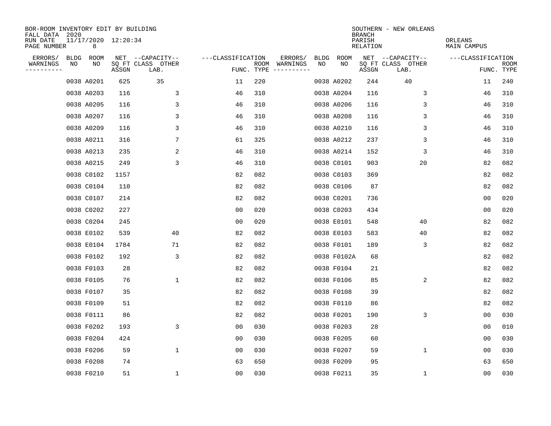| BOR-ROOM INVENTORY EDIT BY BUILDING<br>FALL DATA 2020 |    |                          |       |                           |                   |      |                                 |             |             | <b>BRANCH</b>      | SOUTHERN - NEW ORLEANS    |                        |                           |
|-------------------------------------------------------|----|--------------------------|-------|---------------------------|-------------------|------|---------------------------------|-------------|-------------|--------------------|---------------------------|------------------------|---------------------------|
| RUN DATE<br>PAGE NUMBER                               |    | 11/17/2020 12:20:34<br>8 |       |                           |                   |      |                                 |             |             | PARISH<br>RELATION |                           | ORLEANS<br>MAIN CAMPUS |                           |
| ERRORS/                                               |    | BLDG ROOM                |       | NET --CAPACITY--          | ---CLASSIFICATION |      | ERRORS/                         | <b>BLDG</b> | <b>ROOM</b> |                    | NET --CAPACITY--          | ---CLASSIFICATION      |                           |
| WARNINGS<br>---------                                 | NO | NO                       | ASSGN | SQ FT CLASS OTHER<br>LAB. |                   | ROOM | WARNINGS<br>FUNC. TYPE $------$ | NO          | NO          | ASSGN              | SQ FT CLASS OTHER<br>LAB. |                        | <b>ROOM</b><br>FUNC. TYPE |
|                                                       |    | 0038 A0201               | 625   | 35                        | 11                | 220  |                                 |             | 0038 A0202  | 244                | 40                        | 11                     | 240                       |
|                                                       |    | 0038 A0203               | 116   | 3                         | 46                | 310  |                                 |             | 0038 A0204  | 116                | 3                         | 46                     | 310                       |
|                                                       |    | 0038 A0205               | 116   | 3                         | 46                | 310  |                                 |             | 0038 A0206  | 116                | 3                         | 46                     | 310                       |
|                                                       |    | 0038 A0207               | 116   | 3                         | 46                | 310  |                                 |             | 0038 A0208  | 116                | 3                         | 46                     | 310                       |
|                                                       |    | 0038 A0209               | 116   | 3                         | 46                | 310  |                                 |             | 0038 A0210  | 116                | 3                         | 46                     | 310                       |
|                                                       |    | 0038 A0211               | 316   | 7                         | 61                | 325  |                                 |             | 0038 A0212  | 237                | 3                         | 46                     | 310                       |
|                                                       |    | 0038 A0213               | 235   | $\overline{c}$            | 46                | 310  |                                 |             | 0038 A0214  | 152                | 3                         | 46                     | 310                       |
|                                                       |    | 0038 A0215               | 249   | 3                         | 46                | 310  |                                 |             | 0038 C0101  | 903                | 20                        | 82                     | 082                       |
|                                                       |    | 0038 C0102               | 1157  |                           | 82                | 082  |                                 |             | 0038 C0103  | 369                |                           | 82                     | 082                       |
|                                                       |    | 0038 C0104               | 110   |                           | 82                | 082  |                                 |             | 0038 C0106  | 87                 |                           | 82                     | 082                       |
|                                                       |    | 0038 C0107               | 214   |                           | 82                | 082  |                                 |             | 0038 C0201  | 736                |                           | 0 <sub>0</sub>         | 020                       |
|                                                       |    | 0038 C0202               | 227   |                           | 0 <sub>0</sub>    | 020  |                                 |             | 0038 C0203  | 434                |                           | 0 <sub>0</sub>         | 020                       |
|                                                       |    | 0038 C0204               | 245   |                           | 0 <sub>0</sub>    | 020  |                                 |             | 0038 E0101  | 548                | 40                        | 82                     | 082                       |
|                                                       |    | 0038 E0102               | 539   | 40                        | 82                | 082  |                                 |             | 0038 E0103  | 583                | 40                        | 82                     | 082                       |
|                                                       |    | 0038 E0104               | 1784  | 71                        | 82                | 082  |                                 |             | 0038 F0101  | 189                | 3                         | 82                     | 082                       |
|                                                       |    | 0038 F0102               | 192   | 3                         | 82                | 082  |                                 |             | 0038 F0102A | 68                 |                           | 82                     | 082                       |
|                                                       |    | 0038 F0103               | 28    |                           | 82                | 082  |                                 |             | 0038 F0104  | 21                 |                           | 82                     | 082                       |
|                                                       |    | 0038 F0105               | 76    | $\mathbf 1$               | 82                | 082  |                                 |             | 0038 F0106  | 85                 | 2                         | 82                     | 082                       |
|                                                       |    | 0038 F0107               | 35    |                           | 82                | 082  |                                 |             | 0038 F0108  | 39                 |                           | 82                     | 082                       |
|                                                       |    | 0038 F0109               | 51    |                           | 82                | 082  |                                 |             | 0038 F0110  | 86                 |                           | 82                     | 082                       |
|                                                       |    | 0038 F0111               | 86    |                           | 82                | 082  |                                 |             | 0038 F0201  | 190                | 3                         | 0 <sub>0</sub>         | 030                       |
|                                                       |    | 0038 F0202               | 193   | 3                         | 0 <sub>0</sub>    | 030  |                                 |             | 0038 F0203  | 28                 |                           | 0 <sub>0</sub>         | 010                       |
|                                                       |    | 0038 F0204               | 424   |                           | 0 <sub>0</sub>    | 030  |                                 |             | 0038 F0205  | 60                 |                           | 0 <sub>0</sub>         | 030                       |
|                                                       |    | 0038 F0206               | 59    | $\mathbf 1$               | 0 <sub>0</sub>    | 030  |                                 |             | 0038 F0207  | 59                 | $\mathbf 1$               | 00                     | 030                       |
|                                                       |    | 0038 F0208               | 74    |                           | 63                | 650  |                                 |             | 0038 F0209  | 95                 |                           | 63                     | 650                       |
|                                                       |    | 0038 F0210               | 51    | 1                         | 0 <sub>0</sub>    | 030  |                                 |             | 0038 F0211  | 35                 | 1                         | 00                     | 030                       |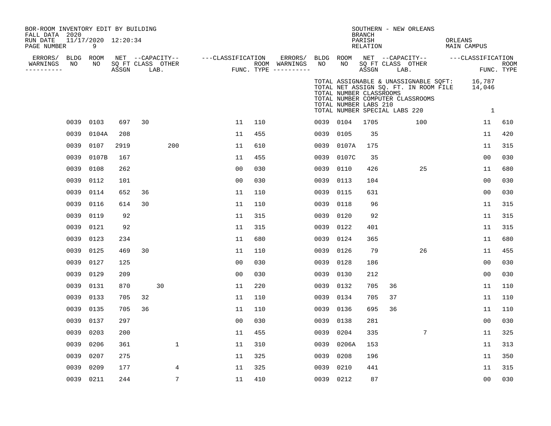| BOR-ROOM INVENTORY EDIT BY BUILDING<br>FALL DATA 2020 |      |                          |       |    |                                       |                   |     |                          |                 |                                                                                   | <b>BRANCH</b>             |      | SOUTHERN - NEW ORLEANS                                                                                                    |         |                    |             |
|-------------------------------------------------------|------|--------------------------|-------|----|---------------------------------------|-------------------|-----|--------------------------|-----------------|-----------------------------------------------------------------------------------|---------------------------|------|---------------------------------------------------------------------------------------------------------------------------|---------|--------------------|-------------|
| RUN DATE<br>PAGE NUMBER                               |      | 11/17/2020 12:20:34<br>9 |       |    |                                       |                   |     |                          |                 |                                                                                   | PARISH<br><b>RELATION</b> |      |                                                                                                                           | ORLEANS | <b>MAIN CAMPUS</b> |             |
| ERRORS/<br>WARNINGS                                   | NO   | BLDG ROOM<br>NO          |       |    | NET --CAPACITY--<br>SQ FT CLASS OTHER | ---CLASSIFICATION |     | ERRORS/<br>ROOM WARNINGS | BLDG ROOM<br>NO | NO                                                                                |                           |      | NET --CAPACITY-- ---CLASSIFICATION<br>SQ FT CLASS OTHER                                                                   |         |                    | <b>ROOM</b> |
| ----------                                            |      |                          | ASSGN |    | LAB.                                  |                   |     | FUNC. TYPE $------$      |                 |                                                                                   | ASSGN                     | LAB. |                                                                                                                           |         |                    | FUNC. TYPE  |
|                                                       |      |                          |       |    |                                       |                   |     |                          |                 | TOTAL NUMBER CLASSROOMS<br>TOTAL NUMBER LABS 210<br>TOTAL NUMBER SPECIAL LABS 220 |                           |      | TOTAL ASSIGNABLE & UNASSIGNABLE SQFT: 16,787<br>TOTAL NET ASSIGN SQ. FT. IN ROOM FILE<br>TOTAL NUMBER COMPUTER CLASSROOMS |         | 14,046<br>1        |             |
|                                                       | 0039 | 0103                     | 697   | 30 |                                       | 11                | 110 |                          |                 | 0039 0104                                                                         | 1705                      |      | 100                                                                                                                       |         | 11                 | 610         |
|                                                       | 0039 | 0104A                    | 208   |    |                                       | 11                | 455 |                          | 0039            | 0105                                                                              | 35                        |      |                                                                                                                           |         | 11                 | 420         |
|                                                       | 0039 | 0107                     | 2919  |    | 200                                   | 11                | 610 |                          | 0039            | 0107A                                                                             | 175                       |      |                                                                                                                           |         | 11                 | 315         |
|                                                       | 0039 | 0107B                    | 167   |    |                                       | 11                | 455 |                          | 0039            | 0107C                                                                             | 35                        |      |                                                                                                                           |         | 0 <sub>0</sub>     | 030         |
|                                                       | 0039 | 0108                     | 262   |    |                                       | 0 <sub>0</sub>    | 030 |                          | 0039            | 0110                                                                              | 426                       |      | 25                                                                                                                        |         | 11                 | 680         |
|                                                       | 0039 | 0112                     | 101   |    |                                       | 0 <sub>0</sub>    | 030 |                          | 0039            | 0113                                                                              | 104                       |      |                                                                                                                           |         | 00                 | 030         |
|                                                       | 0039 | 0114                     | 652   | 36 |                                       | 11                | 110 |                          | 0039            | 0115                                                                              | 631                       |      |                                                                                                                           |         | 00                 | 030         |
|                                                       | 0039 | 0116                     | 614   | 30 |                                       | 11                | 110 |                          | 0039            | 0118                                                                              | 96                        |      |                                                                                                                           |         | 11                 | 315         |
|                                                       | 0039 | 0119                     | 92    |    |                                       | 11                | 315 |                          | 0039            | 0120                                                                              | 92                        |      |                                                                                                                           |         | 11                 | 315         |
|                                                       | 0039 | 0121                     | 92    |    |                                       | 11                | 315 |                          | 0039            | 0122                                                                              | 401                       |      |                                                                                                                           |         | 11                 | 315         |
|                                                       | 0039 | 0123                     | 234   |    |                                       | 11                | 680 |                          | 0039            | 0124                                                                              | 365                       |      |                                                                                                                           |         | 11                 | 680         |
|                                                       | 0039 | 0125                     | 469   | 30 |                                       | 11                | 110 |                          | 0039            | 0126                                                                              | 79                        |      | 26                                                                                                                        |         | 11                 | 455         |
|                                                       | 0039 | 0127                     | 125   |    |                                       | 0 <sub>0</sub>    | 030 |                          | 0039            | 0128                                                                              | 186                       |      |                                                                                                                           |         | 00                 | 030         |
|                                                       | 0039 | 0129                     | 209   |    |                                       | 0 <sub>0</sub>    | 030 |                          | 0039            | 0130                                                                              | 212                       |      |                                                                                                                           |         | 00                 | 030         |
|                                                       | 0039 | 0131                     | 870   |    | 30                                    | 11                | 220 |                          | 0039            | 0132                                                                              | 705                       | 36   |                                                                                                                           |         | 11                 | 110         |
|                                                       | 0039 | 0133                     | 705   | 32 |                                       | 11                | 110 |                          | 0039            | 0134                                                                              | 705                       | 37   |                                                                                                                           |         | 11                 | 110         |
|                                                       | 0039 | 0135                     | 705   | 36 |                                       | 11                | 110 |                          | 0039            | 0136                                                                              | 695                       | 36   |                                                                                                                           |         | 11                 | 110         |
|                                                       | 0039 | 0137                     | 297   |    |                                       | 0 <sub>0</sub>    | 030 |                          | 0039            | 0138                                                                              | 281                       |      |                                                                                                                           |         | 00                 | 030         |
|                                                       | 0039 | 0203                     | 200   |    |                                       | 11                | 455 |                          | 0039            | 0204                                                                              | 335                       |      | 7                                                                                                                         |         | 11                 | 325         |
|                                                       | 0039 | 0206                     | 361   |    | $\mathbf{1}$                          | 11                | 310 |                          | 0039            | 0206A                                                                             | 153                       |      |                                                                                                                           |         | 11                 | 313         |
|                                                       | 0039 | 0207                     | 275   |    |                                       | 11                | 325 |                          | 0039            | 0208                                                                              | 196                       |      |                                                                                                                           |         | 11                 | 350         |
|                                                       | 0039 | 0209                     | 177   |    | 4                                     | 11                | 325 |                          | 0039            | 0210                                                                              | 441                       |      |                                                                                                                           |         | 11                 | 315         |
|                                                       | 0039 | 0211                     | 244   |    | $7\overline{ }$                       | 11                | 410 |                          | 0039 0212       |                                                                                   | 87                        |      |                                                                                                                           |         | 0 <sub>0</sub>     | 030         |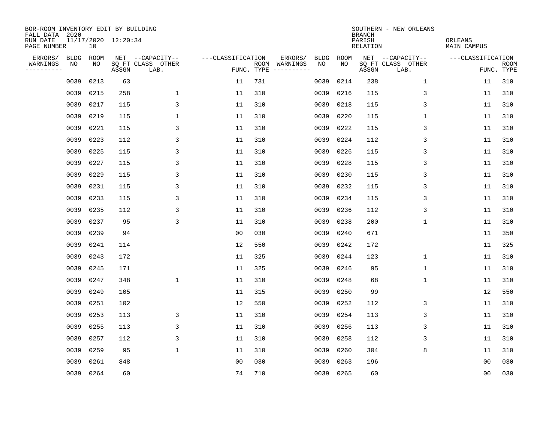| BOR-ROOM INVENTORY EDIT BY BUILDING<br>FALL DATA 2020 |             |      |                     |                           |                   |     |                                            |             | <b>BRANCH</b>             | SOUTHERN - NEW ORLEANS    |                               |                           |
|-------------------------------------------------------|-------------|------|---------------------|---------------------------|-------------------|-----|--------------------------------------------|-------------|---------------------------|---------------------------|-------------------------------|---------------------------|
| RUN DATE<br>PAGE NUMBER                               |             | 10   | 11/17/2020 12:20:34 |                           |                   |     |                                            |             | PARISH<br><b>RELATION</b> |                           | ORLEANS<br><b>MAIN CAMPUS</b> |                           |
| ERRORS/                                               | <b>BLDG</b> | ROOM |                     | NET --CAPACITY--          | ---CLASSIFICATION |     | ERRORS/<br><b>BLDG</b>                     | <b>ROOM</b> |                           | NET --CAPACITY--          | ---CLASSIFICATION             |                           |
| WARNINGS<br>----------                                | NO          | NO   | ASSGN               | SQ FT CLASS OTHER<br>LAB. |                   |     | ROOM WARNINGS<br>NO<br>FUNC. TYPE $------$ | NO          | ASSGN                     | SQ FT CLASS OTHER<br>LAB. |                               | <b>ROOM</b><br>FUNC. TYPE |
|                                                       | 0039        | 0213 | 63                  |                           | 11                | 731 | 0039                                       | 0214        | 238                       | $\mathbf 1$               | 11                            | 310                       |
|                                                       | 0039        | 0215 | 258                 | $\mathbf 1$               | 11                | 310 | 0039                                       | 0216        | 115                       | 3                         | 11                            | 310                       |
|                                                       | 0039        | 0217 | 115                 | 3                         | 11                | 310 | 0039                                       | 0218        | 115                       | 3                         | 11                            | 310                       |
|                                                       | 0039        | 0219 | 115                 | $\mathbf 1$               | 11                | 310 | 0039                                       | 0220        | 115                       | 1                         | 11                            | 310                       |
|                                                       | 0039        | 0221 | 115                 | 3                         | 11                | 310 | 0039                                       | 0222        | 115                       | 3                         | 11                            | 310                       |
|                                                       | 0039        | 0223 | 112                 | 3                         | 11                | 310 | 0039                                       | 0224        | 112                       | 3                         | 11                            | 310                       |
|                                                       | 0039        | 0225 | 115                 | $\mathsf{3}$              | 11                | 310 | 0039                                       | 0226        | 115                       | 3                         | 11                            | 310                       |
|                                                       | 0039        | 0227 | 115                 | 3                         | 11                | 310 | 0039                                       | 0228        | 115                       | 3                         | 11                            | 310                       |
|                                                       | 0039        | 0229 | 115                 | 3                         | 11                | 310 | 0039                                       | 0230        | 115                       | 3                         | 11                            | 310                       |
|                                                       | 0039        | 0231 | 115                 | 3                         | 11                | 310 | 0039                                       | 0232        | 115                       | 3                         | 11                            | 310                       |
|                                                       | 0039        | 0233 | 115                 | 3                         | 11                | 310 | 0039                                       | 0234        | 115                       | 3                         | 11                            | 310                       |
|                                                       | 0039        | 0235 | 112                 | 3                         | 11                | 310 | 0039                                       | 0236        | 112                       | 3                         | 11                            | 310                       |
|                                                       | 0039        | 0237 | 95                  | 3                         | 11                | 310 | 0039                                       | 0238        | 200                       | $\mathbf 1$               | 11                            | 310                       |
|                                                       | 0039        | 0239 | 94                  |                           | 0 <sub>0</sub>    | 030 | 0039                                       | 0240        | 671                       |                           | 11                            | 350                       |
|                                                       | 0039        | 0241 | 114                 |                           | 12                | 550 | 0039                                       | 0242        | 172                       |                           | 11                            | 325                       |
|                                                       | 0039        | 0243 | 172                 |                           | 11                | 325 | 0039                                       | 0244        | 123                       | 1                         | 11                            | 310                       |
|                                                       | 0039        | 0245 | 171                 |                           | 11                | 325 | 0039                                       | 0246        | 95                        | 1                         | 11                            | 310                       |
|                                                       | 0039        | 0247 | 348                 | $\mathbf{1}$              | 11                | 310 | 0039                                       | 0248        | 68                        | 1                         | 11                            | 310                       |
|                                                       | 0039        | 0249 | 105                 |                           | 11                | 315 | 0039                                       | 0250        | 99                        |                           | 12                            | 550                       |
|                                                       | 0039        | 0251 | 102                 |                           | 12                | 550 | 0039                                       | 0252        | 112                       | 3                         | 11                            | 310                       |
|                                                       | 0039        | 0253 | 113                 | 3                         | 11                | 310 | 0039                                       | 0254        | 113                       | 3                         | 11                            | 310                       |
|                                                       | 0039        | 0255 | 113                 | 3                         | 11                | 310 | 0039                                       | 0256        | 113                       | 3                         | 11                            | 310                       |
|                                                       | 0039        | 0257 | 112                 | 3                         | 11                | 310 | 0039                                       | 0258        | 112                       | 3                         | 11                            | 310                       |
|                                                       | 0039        | 0259 | 95                  | $\mathbf 1$               | 11                | 310 | 0039                                       | 0260        | 304                       | 8                         | 11                            | 310                       |
|                                                       | 0039        | 0261 | 848                 |                           | 0 <sub>0</sub>    | 030 | 0039                                       | 0263        | 196                       |                           | 0 <sub>0</sub>                | 030                       |
|                                                       | 0039 0264   |      | 60                  |                           | 74                | 710 |                                            | 0039 0265   | 60                        |                           | 00                            | 030                       |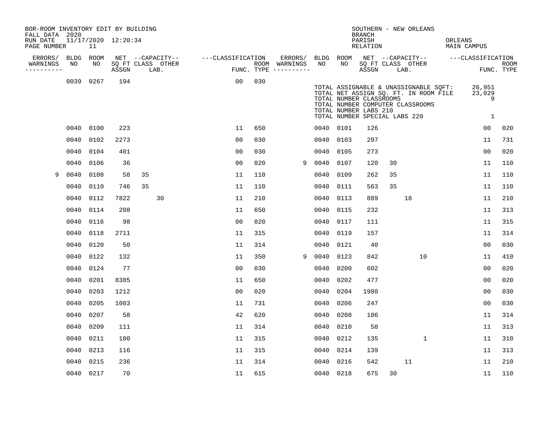| BOR-ROOM INVENTORY EDIT BY BUILDING<br>FALL DATA 2020 |             |      |                     |                           |                   |     |                                      |      |           | <b>BRANCH</b>                                                                     |      | SOUTHERN - NEW ORLEANS                                                                                             |         |                            |                    |
|-------------------------------------------------------|-------------|------|---------------------|---------------------------|-------------------|-----|--------------------------------------|------|-----------|-----------------------------------------------------------------------------------|------|--------------------------------------------------------------------------------------------------------------------|---------|----------------------------|--------------------|
| RUN DATE<br>PAGE NUMBER                               |             | 11   | 11/17/2020 12:20:34 |                           |                   |     |                                      |      |           | PARISH<br>RELATION                                                                |      |                                                                                                                    | ORLEANS | MAIN CAMPUS                |                    |
| ERRORS/                                               | <b>BLDG</b> | ROOM |                     | NET --CAPACITY--          | ---CLASSIFICATION |     | ERRORS/                              |      | BLDG ROOM |                                                                                   |      | NET --CAPACITY--                                                                                                   |         | ---CLASSIFICATION          |                    |
| WARNINGS<br>-----------                               | NO          | NO   | ASSGN               | SQ FT CLASS OTHER<br>LAB. |                   |     | ROOM WARNINGS<br>FUNC. TYPE $------$ | NO   | NO        | ASSGN                                                                             | LAB. | SQ FT CLASS OTHER                                                                                                  |         |                            | ROOM<br>FUNC. TYPE |
|                                                       | 0039        | 0267 | 194                 |                           | 00                | 030 |                                      |      |           | TOTAL NUMBER CLASSROOMS<br>TOTAL NUMBER LABS 210<br>TOTAL NUMBER SPECIAL LABS 220 |      | TOTAL ASSIGNABLE & UNASSIGNABLE SQFT:<br>TOTAL NET ASSIGN SQ. FT. IN ROOM FILE<br>TOTAL NUMBER COMPUTER CLASSROOMS |         | 26,951<br>23,029<br>9<br>1 |                    |
|                                                       | 0040        | 0100 | 223                 |                           | 11                | 650 |                                      |      | 0040 0101 | 126                                                                               |      |                                                                                                                    |         | 00                         | 020                |
|                                                       | 0040        | 0102 | 2273                |                           | 0 <sub>0</sub>    | 030 |                                      |      | 0040 0103 | 297                                                                               |      |                                                                                                                    |         | 11                         | 731                |
|                                                       | 0040        | 0104 | 401                 |                           | 00                | 030 |                                      | 0040 | 0105      | 273                                                                               |      |                                                                                                                    |         | 0 <sub>0</sub>             | 020                |
|                                                       | 0040        | 0106 | 36                  |                           | 0 <sub>0</sub>    | 020 | 9                                    | 0040 | 0107      | 120                                                                               | 30   |                                                                                                                    |         | 11                         | 110                |
| 9                                                     | 0040        | 0108 | 58                  | 35                        | 11                | 110 |                                      | 0040 | 0109      | 262                                                                               | 35   |                                                                                                                    |         | 11                         | 110                |
|                                                       | 0040        | 0110 | 746                 | 35                        | 11                | 110 |                                      | 0040 | 0111      | 563                                                                               | 35   |                                                                                                                    |         | 11                         | 110                |
|                                                       | 0040        | 0112 | 7822                | 30                        | 11                | 210 |                                      | 0040 | 0113      | 889                                                                               |      | 18                                                                                                                 |         | 11                         | 210                |
|                                                       | 0040        | 0114 | 208                 |                           | 11                | 650 |                                      | 0040 | 0115      | 232                                                                               |      |                                                                                                                    |         | 11                         | 313                |
|                                                       | 0040        | 0116 | 98                  |                           | 0 <sub>0</sub>    | 020 |                                      | 0040 | 0117      | 111                                                                               |      |                                                                                                                    |         | 11                         | 315                |
|                                                       | 0040        | 0118 | 2711                |                           | 11                | 315 |                                      | 0040 | 0119      | 157                                                                               |      |                                                                                                                    |         | 11                         | 314                |
|                                                       | 0040        | 0120 | 50                  |                           | 11                | 314 |                                      |      | 0040 0121 | 40                                                                                |      |                                                                                                                    |         | 0 <sub>0</sub>             | 030                |
|                                                       | 0040        | 0122 | 132                 |                           | 11                | 350 | 9                                    | 0040 | 0123      | 842                                                                               |      | 10                                                                                                                 |         | 11                         | 410                |
|                                                       | 0040        | 0124 | 77                  |                           | 0 <sub>0</sub>    | 030 |                                      | 0040 | 0200      | 602                                                                               |      |                                                                                                                    |         | 0 <sub>0</sub>             | 020                |
|                                                       | 0040        | 0201 | 8385                |                           | 11                | 650 |                                      | 0040 | 0202      | 477                                                                               |      |                                                                                                                    |         | 00                         | 020                |
|                                                       | 0040        | 0203 | 1212                |                           | 0 <sub>0</sub>    | 020 |                                      | 0040 | 0204      | 1980                                                                              |      |                                                                                                                    |         | 0 <sub>0</sub>             | 030                |
|                                                       | 0040        | 0205 | 1003                |                           | 11                | 731 |                                      | 0040 | 0206      | 247                                                                               |      |                                                                                                                    |         | 0 <sub>0</sub>             | 030                |
|                                                       | 0040        | 0207 | 58                  |                           | 42                | 620 |                                      | 0040 | 0208      | 106                                                                               |      |                                                                                                                    |         | 11                         | 314                |
|                                                       | 0040        | 0209 | 111                 |                           | 11                | 314 |                                      | 0040 | 0210      | 58                                                                                |      |                                                                                                                    |         | 11                         | 313                |
|                                                       | 0040        | 0211 | 100                 |                           | 11                | 315 |                                      | 0040 | 0212      | 135                                                                               |      | $\mathbf{1}$                                                                                                       |         | 11                         | 310                |
|                                                       | 0040        | 0213 | 116                 |                           | 11                | 315 |                                      | 0040 | 0214      | 139                                                                               |      |                                                                                                                    |         | 11                         | 313                |
|                                                       | 0040        | 0215 | 236                 |                           | 11                | 314 |                                      | 0040 | 0216      | 542                                                                               |      | 11                                                                                                                 |         | 11                         | 210                |
|                                                       | 0040        | 0217 | 70                  |                           | 11                | 615 |                                      |      | 0040 0218 | 675                                                                               | 30   |                                                                                                                    |         | 11                         | 110                |
|                                                       |             |      |                     |                           |                   |     |                                      |      |           |                                                                                   |      |                                                                                                                    |         |                            |                    |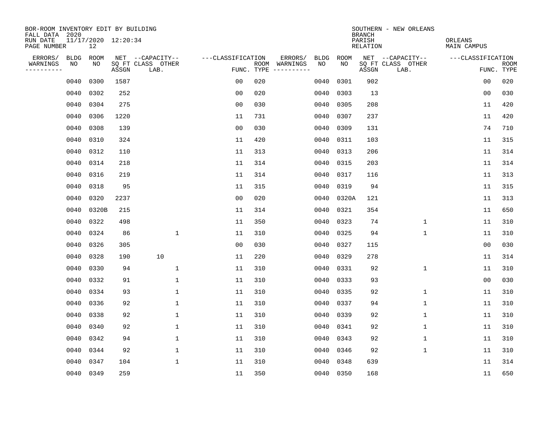| BOR-ROOM INVENTORY EDIT BY BUILDING<br>FALL DATA 2020 |                           |       |                           |                   |     |                                      |             |             | <b>BRANCH</b>             | SOUTHERN - NEW ORLEANS    |                               |                           |
|-------------------------------------------------------|---------------------------|-------|---------------------------|-------------------|-----|--------------------------------------|-------------|-------------|---------------------------|---------------------------|-------------------------------|---------------------------|
| RUN DATE<br>PAGE NUMBER                               | 11/17/2020 12:20:34<br>12 |       |                           |                   |     |                                      |             |             | PARISH<br><b>RELATION</b> |                           | ORLEANS<br><b>MAIN CAMPUS</b> |                           |
| ERRORS/<br><b>BLDG</b>                                | ROOM                      |       | NET --CAPACITY--          | ---CLASSIFICATION |     | ERRORS/                              | <b>BLDG</b> | <b>ROOM</b> |                           | NET --CAPACITY--          | ---CLASSIFICATION             |                           |
| WARNINGS<br>NO<br>----------                          | NO                        | ASSGN | SQ FT CLASS OTHER<br>LAB. |                   |     | ROOM WARNINGS<br>FUNC. TYPE $------$ | NO          | NO          | ASSGN                     | SQ FT CLASS OTHER<br>LAB. |                               | <b>ROOM</b><br>FUNC. TYPE |
| 0040                                                  | 0300                      | 1587  |                           | 0 <sub>0</sub>    | 020 |                                      | 0040        | 0301        | 902                       |                           | 00                            | 020                       |
| 0040                                                  | 0302                      | 252   |                           | 0 <sub>0</sub>    | 020 |                                      | 0040        | 0303        | 13                        |                           | 0 <sub>0</sub>                | 030                       |
| 0040                                                  | 0304                      | 275   |                           | 0 <sub>0</sub>    | 030 |                                      | 0040        | 0305        | 208                       |                           | 11                            | 420                       |
| 0040                                                  | 0306                      | 1220  |                           | 11                | 731 |                                      | 0040        | 0307        | 237                       |                           | 11                            | 420                       |
| 0040                                                  | 0308                      | 139   |                           | 0 <sub>0</sub>    | 030 |                                      | 0040        | 0309        | 131                       |                           | 74                            | 710                       |
| 0040                                                  | 0310                      | 324   |                           | 11                | 420 |                                      | 0040        | 0311        | 103                       |                           | 11                            | 315                       |
| 0040                                                  | 0312                      | 110   |                           | 11                | 313 |                                      | 0040        | 0313        | 206                       |                           | 11                            | 314                       |
| 0040                                                  | 0314                      | 218   |                           | 11                | 314 |                                      | 0040        | 0315        | 203                       |                           | 11                            | 314                       |
| 0040                                                  | 0316                      | 219   |                           | 11                | 314 |                                      | 0040        | 0317        | 116                       |                           | 11                            | 313                       |
| 0040                                                  | 0318                      | 95    |                           | 11                | 315 |                                      | 0040        | 0319        | 94                        |                           | 11                            | 315                       |
| 0040                                                  | 0320                      | 2237  |                           | 0 <sub>0</sub>    | 020 |                                      | 0040        | 0320A       | 121                       |                           | 11                            | 313                       |
| 0040                                                  | 0320B                     | 215   |                           | 11                | 314 |                                      | 0040        | 0321        | 354                       |                           | 11                            | 650                       |
| 0040                                                  | 0322                      | 498   |                           | 11                | 350 |                                      | 0040        | 0323        | 74                        | $\mathbf 1$               | 11                            | 310                       |
| 0040                                                  | 0324                      | 86    | $\mathbf{1}$              | 11                | 310 |                                      | 0040        | 0325        | 94                        | 1                         | 11                            | 310                       |
| 0040                                                  | 0326                      | 305   |                           | 0 <sub>0</sub>    | 030 |                                      | 0040        | 0327        | 115                       |                           | 0 <sub>0</sub>                | 030                       |
| 0040                                                  | 0328                      | 190   | 10                        | 11                | 220 |                                      | 0040        | 0329        | 278                       |                           | 11                            | 314                       |
| 0040                                                  | 0330                      | 94    | $\mathbf{1}$              | 11                | 310 |                                      | 0040        | 0331        | 92                        | 1                         | 11                            | 310                       |
| 0040                                                  | 0332                      | 91    | $\mathbf 1$               | 11                | 310 |                                      | 0040        | 0333        | 93                        |                           | 0 <sub>0</sub>                | 030                       |
| 0040                                                  | 0334                      | 93    | 1                         | 11                | 310 |                                      | 0040        | 0335        | 92                        | 1                         | 11                            | 310                       |
| 0040                                                  | 0336                      | 92    | $\mathbf{1}$              | 11                | 310 |                                      | 0040        | 0337        | 94                        | $\mathbf 1$               | 11                            | 310                       |
| 0040                                                  | 0338                      | 92    | $\mathbf{1}$              | 11                | 310 |                                      | 0040        | 0339        | 92                        | 1                         | 11                            | 310                       |
| 0040                                                  | 0340                      | 92    | $\mathbf 1$               | 11                | 310 |                                      | 0040        | 0341        | 92                        | 1                         | 11                            | 310                       |
| 0040                                                  | 0342                      | 94    | $\mathbf 1$               | 11                | 310 |                                      | 0040        | 0343        | 92                        | 1                         | 11                            | 310                       |
| 0040                                                  | 0344                      | 92    | $\mathbf 1$               | 11                | 310 |                                      | 0040        | 0346        | 92                        | $\mathbf{1}$              | 11                            | 310                       |
| 0040                                                  | 0347                      | 104   | $\mathbf 1$               | 11                | 310 |                                      | 0040        | 0348        | 639                       |                           | 11                            | 314                       |
| 0040                                                  | 0349                      | 259   |                           | 11                | 350 |                                      |             | 0040 0350   | 168                       |                           | 11                            | 650                       |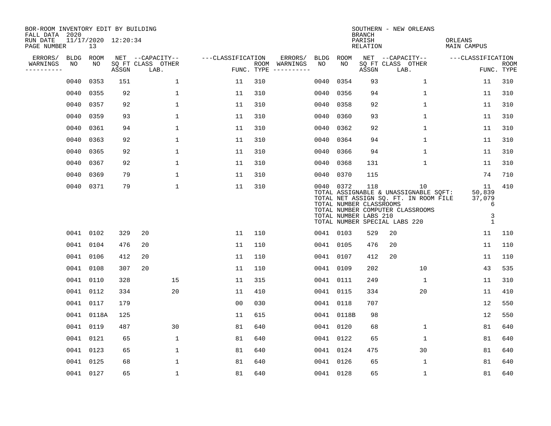| BOR-ROOM INVENTORY EDIT BY BUILDING<br>FALL DATA 2020 |             |            |                     |                           |                   |     |                                      |                                                               |            |                                                         | SOUTHERN - NEW ORLEANS                                                                                                                                    |                                                             |                           |  |
|-------------------------------------------------------|-------------|------------|---------------------|---------------------------|-------------------|-----|--------------------------------------|---------------------------------------------------------------|------------|---------------------------------------------------------|-----------------------------------------------------------------------------------------------------------------------------------------------------------|-------------------------------------------------------------|---------------------------|--|
| RUN DATE<br>PAGE NUMBER                               |             | 13         | 11/17/2020 12:20:34 |                           |                   |     |                                      | <b>BRANCH</b><br>ORLEANS<br>PARISH<br>RELATION<br>MAIN CAMPUS |            |                                                         |                                                                                                                                                           |                                                             |                           |  |
| ERRORS/                                               | <b>BLDG</b> | ROOM       |                     | NET --CAPACITY--          | ---CLASSIFICATION |     | ERRORS/                              | BLDG                                                          | ROOM       |                                                         | NET --CAPACITY--                                                                                                                                          | ---CLASSIFICATION                                           |                           |  |
| WARNINGS<br>----------                                | NO          | NO         | ASSGN               | SQ FT CLASS OTHER<br>LAB. |                   |     | ROOM WARNINGS<br>FUNC. TYPE $------$ | NO                                                            | NO         | ASSGN                                                   | SQ FT CLASS OTHER<br>LAB.                                                                                                                                 |                                                             | <b>ROOM</b><br>FUNC. TYPE |  |
|                                                       | 0040        | 0353       | 151                 | $\mathbf 1$               | 11                | 310 |                                      | 0040                                                          | 0354       | 93                                                      | $\mathbf 1$                                                                                                                                               | 11                                                          | 310                       |  |
|                                                       | 0040        | 0355       | 92                  | $\mathbf{1}$              | 11                | 310 |                                      | 0040                                                          | 0356       | 94                                                      | $\mathbf 1$                                                                                                                                               | 11                                                          | 310                       |  |
|                                                       | 0040        | 0357       | 92                  | $\mathbf 1$               | 11                | 310 |                                      | 0040                                                          | 0358       | 92                                                      | $\mathbf{1}$                                                                                                                                              | 11                                                          | 310                       |  |
|                                                       | 0040        | 0359       | 93                  | $\mathbf{1}$              | 11                | 310 |                                      | 0040                                                          | 0360       | 93                                                      | $\mathbf 1$                                                                                                                                               | 11                                                          | 310                       |  |
|                                                       | 0040        | 0361       | 94                  | $\mathbf{1}$              | 11                | 310 |                                      | 0040                                                          | 0362       | 92                                                      | $\mathbf{1}$                                                                                                                                              | 11                                                          | 310                       |  |
|                                                       | 0040        | 0363       | 92                  | $\mathbf{1}$              | 11                | 310 |                                      |                                                               | 0040 0364  | 94                                                      | $\mathbf{1}$                                                                                                                                              | 11                                                          | 310                       |  |
|                                                       | 0040        | 0365       | 92                  | $\mathbf 1$               | 11                | 310 |                                      | 0040                                                          | 0366       | 94                                                      | $\mathbf 1$                                                                                                                                               | 11                                                          | 310                       |  |
|                                                       | 0040        | 0367       | 92                  | $\mathbf{1}$              | 11                | 310 |                                      |                                                               | 0040 0368  | 131                                                     | $\mathbf 1$                                                                                                                                               | 11                                                          | 310                       |  |
|                                                       | 0040        | 0369       | 79                  | $\mathbf{1}$              | 11                | 310 |                                      | 0040                                                          | 0370       | 115                                                     |                                                                                                                                                           | 74                                                          | 710                       |  |
|                                                       |             | 0040 0371  | 79                  | $\mathbf 1$               | 11                | 310 |                                      |                                                               | 0040 0372  | 118<br>TOTAL NUMBER CLASSROOMS<br>TOTAL NUMBER LABS 210 | 10<br>TOTAL ASSIGNABLE & UNASSIGNABLE SQFT:<br>TOTAL NET ASSIGN SQ. FT. IN ROOM FILE<br>TOTAL NUMBER COMPUTER CLASSROOMS<br>TOTAL NUMBER SPECIAL LABS 220 | 11<br>50,839<br>37,079<br>6<br>$\mathsf{3}$<br>$\mathbf{1}$ | 410                       |  |
|                                                       |             | 0041 0102  | 329                 | 20                        | 11                | 110 |                                      |                                                               | 0041 0103  | 529                                                     | 20                                                                                                                                                        | 11                                                          | 110                       |  |
|                                                       | 0041        | 0104       | 476                 | 20                        | 11                | 110 |                                      |                                                               | 0041 0105  | 476                                                     | 20                                                                                                                                                        | 11                                                          | 110                       |  |
|                                                       |             | 0041 0106  | 412                 | 20                        | 11                | 110 |                                      |                                                               | 0041 0107  | 412                                                     | 20                                                                                                                                                        | 11                                                          | 110                       |  |
|                                                       | 0041        | 0108       | 307                 | 20                        | 11                | 110 |                                      |                                                               | 0041 0109  | 202                                                     | 10                                                                                                                                                        | 43                                                          | 535                       |  |
|                                                       | 0041        | 0110       | 328                 | 15                        | 11                | 315 |                                      |                                                               | 0041 0111  | 249                                                     | 1                                                                                                                                                         | 11                                                          | 310                       |  |
|                                                       |             | 0041 0112  | 334                 | 20                        | 11                | 410 |                                      |                                                               | 0041 0115  | 334                                                     | 20                                                                                                                                                        | 11                                                          | 410                       |  |
|                                                       |             | 0041 0117  | 179                 |                           | 0 <sub>0</sub>    | 030 |                                      |                                                               | 0041 0118  | 707                                                     |                                                                                                                                                           | 12                                                          | 550                       |  |
|                                                       |             | 0041 0118A | 125                 |                           | 11                | 615 |                                      |                                                               | 0041 0118B | 98                                                      |                                                                                                                                                           | 12                                                          | 550                       |  |
|                                                       | 0041 0119   |            | 487                 | 30                        | 81                | 640 |                                      |                                                               | 0041 0120  | 68                                                      | $\mathbf 1$                                                                                                                                               | 81                                                          | 640                       |  |
|                                                       |             | 0041 0121  | 65                  | $\mathbf{1}$              | 81                | 640 |                                      |                                                               | 0041 0122  | 65                                                      | $\mathbf{1}$                                                                                                                                              | 81                                                          | 640                       |  |
|                                                       |             | 0041 0123  | 65                  | $\mathbf 1$               | 81                | 640 |                                      |                                                               | 0041 0124  | 475                                                     | 30                                                                                                                                                        | 81                                                          | 640                       |  |
|                                                       | 0041 0125   |            | 68                  | 1                         | 81                | 640 |                                      |                                                               | 0041 0126  | 65                                                      | $\mathbf 1$                                                                                                                                               | 81                                                          | 640                       |  |
|                                                       |             | 0041 0127  | 65                  | $\mathbf{1}$              | 81                | 640 |                                      |                                                               | 0041 0128  | 65                                                      | $\mathbf 1$                                                                                                                                               | 81                                                          | 640                       |  |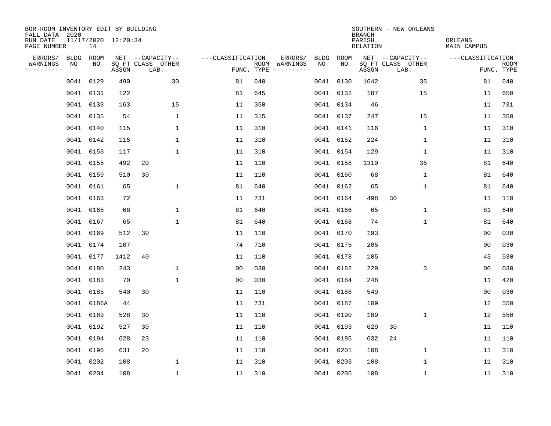| BOR-ROOM INVENTORY EDIT BY BUILDING<br>FALL DATA 2020 |             |                           |       |                           |                   |     |                                      |      |             | <b>BRANCH</b>      | SOUTHERN - NEW ORLEANS    |                        |                           |
|-------------------------------------------------------|-------------|---------------------------|-------|---------------------------|-------------------|-----|--------------------------------------|------|-------------|--------------------|---------------------------|------------------------|---------------------------|
| RUN DATE<br>PAGE NUMBER                               |             | 11/17/2020 12:20:34<br>14 |       |                           |                   |     |                                      |      |             | PARISH<br>RELATION |                           | ORLEANS<br>MAIN CAMPUS |                           |
| ERRORS/                                               | <b>BLDG</b> | ROOM                      |       | NET --CAPACITY--          | ---CLASSIFICATION |     | ERRORS/                              | BLDG | <b>ROOM</b> |                    | NET --CAPACITY--          | ---CLASSIFICATION      |                           |
| WARNINGS<br>----------                                | NO          | NO                        | ASSGN | SQ FT CLASS OTHER<br>LAB. |                   |     | ROOM WARNINGS<br>FUNC. TYPE $------$ | NO.  | NO.         | ASSGN              | SQ FT CLASS OTHER<br>LAB. |                        | <b>ROOM</b><br>FUNC. TYPE |
|                                                       | 0041        | 0129                      | 490   | 30                        | 81                | 640 |                                      | 0041 | 0130        | 1642               | 35                        | 81                     | 640                       |
|                                                       | 0041        | 0131                      | 122   |                           | 81                | 645 |                                      |      | 0041 0132   | 187                | 15                        | 11                     | 650                       |
|                                                       |             | 0041 0133                 | 163   | 15                        | 11                | 350 |                                      |      | 0041 0134   | 46                 |                           | 11                     | 731                       |
|                                                       |             | 0041 0135                 | 54    | $\mathbf 1$               | 11                | 315 |                                      |      | 0041 0137   | 247                | 15                        | 11                     | 350                       |
|                                                       | 0041        | 0140                      | 115   | 1                         | 11                | 310 |                                      |      | 0041 0141   | 116                | 1                         | 11                     | 310                       |
|                                                       |             | 0041 0142                 | 115   | $\mathbf 1$               | 11                | 310 |                                      |      | 0041 0152   | 224                | 1                         | 11                     | 310                       |
|                                                       |             | 0041 0153                 | 117   | $\mathbf{1}$              | 11                | 310 |                                      |      | 0041 0154   | 129                | $\mathbf 1$               | 11                     | 310                       |
|                                                       |             | 0041 0155                 | 492   | 20                        | 11                | 110 |                                      |      | 0041 0158   | 1310               | 35                        | 81                     | 640                       |
|                                                       | 0041        | 0159                      | 510   | 30                        | 11                | 110 |                                      |      | 0041 0160   | 68                 | $\mathbf 1$               | 81                     | 640                       |
|                                                       |             | 0041 0161                 | 65    | 1                         | 81                | 640 |                                      |      | 0041 0162   | 65                 | 1                         | 81                     | 640                       |
|                                                       | 0041        | 0163                      | 72    |                           | 11                | 731 |                                      |      | 0041 0164   | 498                | 30                        | 11                     | 110                       |
|                                                       |             | 0041 0165                 | 68    | 1                         | 81                | 640 |                                      |      | 0041 0166   | 65                 | 1                         | 81                     | 640                       |
|                                                       | 0041        | 0167                      | 65    | 1                         | 81                | 640 |                                      |      | 0041 0168   | 74                 | $\mathbf 1$               | 81                     | 640                       |
|                                                       | 0041        | 0169                      | 512   | 30                        | 11                | 110 |                                      |      | 0041 0170   | 193                |                           | 0 <sub>0</sub>         | 030                       |
|                                                       | 0041        | 0174                      | 107   |                           | 74                | 710 |                                      |      | 0041 0175   | 205                |                           | 0 <sub>0</sub>         | 030                       |
|                                                       | 0041        | 0177                      | 1412  | 40                        | 11                | 110 |                                      |      | 0041 0178   | 105                |                           | 43                     | 530                       |
|                                                       | 0041        | 0180                      | 243   | 4                         | 0 <sub>0</sub>    | 030 |                                      |      | 0041 0182   | 229                | 3                         | 0 <sub>0</sub>         | 030                       |
|                                                       | 0041        | 0183                      | 70    | $\mathbf 1$               | 0 <sub>0</sub>    | 030 |                                      |      | 0041 0184   | 248                |                           | 11                     | 420                       |
|                                                       | 0041        | 0185                      | 540   | 30                        | 11                | 110 |                                      |      | 0041 0186   | 549                |                           | 0 <sub>0</sub>         | 030                       |
|                                                       | 0041        | 0186A                     | 44    |                           | 11                | 731 |                                      |      | 0041 0187   | 109                |                           | 12                     | 550                       |
|                                                       | 0041        | 0189                      | 528   | 30                        | 11                | 110 |                                      |      | 0041 0190   | 109                | 1                         | 12                     | 550                       |
|                                                       | 0041        | 0192                      | 527   | 30                        | 11                | 110 |                                      |      | 0041 0193   | 629                | 30                        | 11                     | 110                       |
|                                                       |             | 0041 0194                 | 628   | 23                        | 11                | 110 |                                      |      | 0041 0195   | 632                | 24                        | 11                     | 110                       |
|                                                       |             | 0041 0196                 | 631   | 20                        | 11                | 110 |                                      |      | 0041 0201   | 108                | 1                         | 11                     | 310                       |
|                                                       | 0041        | 0202                      | 108   | 1                         | 11                | 310 |                                      |      | 0041 0203   | 108                | 1                         | 11                     | 310                       |
|                                                       |             | 0041 0204                 | 108   | $\mathbf{1}$              | 11                | 310 |                                      |      | 0041 0205   | 108                | $\mathbf{1}$              | 11                     | 310                       |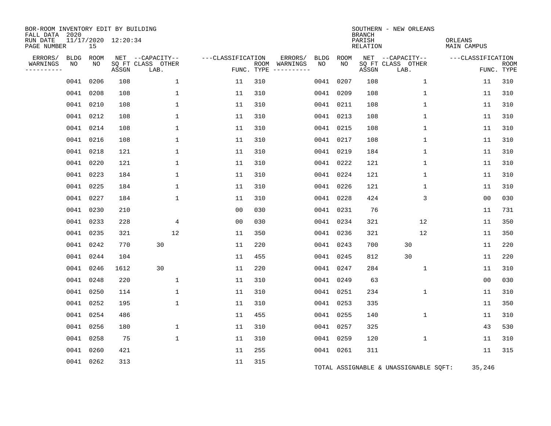| BOR-ROOM INVENTORY EDIT BY BUILDING<br>FALL DATA 2020 |             |           |                     |                           |                                              |     |                                      |      |           | <b>BRANCH</b> | SOUTHERN - NEW ORLEANS                |                   |                           |  |  |
|-------------------------------------------------------|-------------|-----------|---------------------|---------------------------|----------------------------------------------|-----|--------------------------------------|------|-----------|---------------|---------------------------------------|-------------------|---------------------------|--|--|
| RUN DATE<br>PAGE NUMBER                               |             | 15        | 11/17/2020 12:20:34 |                           | PARISH<br>ORLEANS<br>RELATION<br>MAIN CAMPUS |     |                                      |      |           |               |                                       |                   |                           |  |  |
| ERRORS/                                               | <b>BLDG</b> | ROOM      |                     | NET --CAPACITY--          | ---CLASSIFICATION                            |     | ERRORS/                              | BLDG | ROOM      |               | NET --CAPACITY--                      | ---CLASSIFICATION |                           |  |  |
| WARNINGS<br>--------                                  | NO          | NO        | ASSGN               | SQ FT CLASS OTHER<br>LAB. |                                              |     | ROOM WARNINGS<br>FUNC. TYPE $------$ | NO   | NO        | ASSGN         | SQ FT CLASS OTHER<br>LAB.             |                   | <b>ROOM</b><br>FUNC. TYPE |  |  |
|                                                       | 0041        | 0206      | 108                 | 1                         | 11                                           | 310 |                                      |      | 0041 0207 | 108           | 1                                     | 11                | 310                       |  |  |
|                                                       | 0041        | 0208      | 108                 | 1                         | 11                                           | 310 |                                      |      | 0041 0209 | 108           | 1                                     | 11                | 310                       |  |  |
|                                                       |             | 0041 0210 | 108                 | $\mathbf{1}$              | 11                                           | 310 |                                      |      | 0041 0211 | 108           | $\mathbf{1}$                          | 11                | 310                       |  |  |
|                                                       |             | 0041 0212 | 108                 | $\mathbf 1$               | 11                                           | 310 |                                      |      | 0041 0213 | 108           | $\mathbf 1$                           | 11                | 310                       |  |  |
|                                                       |             | 0041 0214 | 108                 | $\mathbf{1}$              | 11                                           | 310 |                                      |      | 0041 0215 | 108           | $\mathbf 1$                           | 11                | 310                       |  |  |
|                                                       |             | 0041 0216 | 108                 | $\mathbf{1}$              | 11                                           | 310 |                                      |      | 0041 0217 | 108           | $\mathbf 1$                           | 11                | 310                       |  |  |
|                                                       |             | 0041 0218 | 121                 | $\mathbf{1}$              | 11                                           | 310 |                                      |      | 0041 0219 | 184           | $\mathbf 1$                           | 11                | 310                       |  |  |
|                                                       |             | 0041 0220 | 121                 | $\mathbf 1$               | 11                                           | 310 |                                      |      | 0041 0222 | 121           | $\mathbf 1$                           | 11                | 310                       |  |  |
|                                                       |             | 0041 0223 | 184                 | $\mathbf 1$               | 11                                           | 310 |                                      |      | 0041 0224 | 121           | 1                                     | 11                | 310                       |  |  |
|                                                       |             | 0041 0225 | 184                 | 1                         | 11                                           | 310 |                                      |      | 0041 0226 | 121           | 1                                     | 11                | 310                       |  |  |
|                                                       |             | 0041 0227 | 184                 | $\mathbf{1}$              | 11                                           | 310 |                                      |      | 0041 0228 | 424           | 3                                     | 00                | 030                       |  |  |
|                                                       |             | 0041 0230 | 210                 |                           | 0 <sub>0</sub>                               | 030 |                                      |      | 0041 0231 | 76            |                                       | 11                | 731                       |  |  |
|                                                       |             | 0041 0233 | 228                 | $\overline{4}$            | 0 <sub>0</sub>                               | 030 |                                      |      | 0041 0234 | 321           | 12                                    | 11                | 350                       |  |  |
|                                                       |             | 0041 0235 | 321                 | 12                        | 11                                           | 350 |                                      |      | 0041 0236 | 321           | 12                                    | 11                | 350                       |  |  |
|                                                       | 0041        | 0242      | 770                 | 30                        | 11                                           | 220 |                                      |      | 0041 0243 | 700           | 30                                    | 11                | 220                       |  |  |
|                                                       | 0041        | 0244      | 104                 |                           | 11                                           | 455 |                                      |      | 0041 0245 | 812           | 30                                    | 11                | 220                       |  |  |
|                                                       |             | 0041 0246 | 1612                | 30                        | 11                                           | 220 |                                      |      | 0041 0247 | 284           | $\mathbf 1$                           | 11                | 310                       |  |  |
|                                                       |             | 0041 0248 | 220                 | 1                         | 11                                           | 310 |                                      |      | 0041 0249 | 63            |                                       | 0 <sub>0</sub>    | 030                       |  |  |
|                                                       | 0041        | 0250      | 114                 | $\mathbf{1}$              | 11                                           | 310 |                                      |      | 0041 0251 | 234           | $\mathbf 1$                           | 11                | 310                       |  |  |
|                                                       |             | 0041 0252 | 195                 | $\mathbf{1}$              | 11                                           | 310 |                                      |      | 0041 0253 | 335           |                                       | 11                | 350                       |  |  |
|                                                       |             | 0041 0254 | 486                 |                           | 11                                           | 455 |                                      |      | 0041 0255 | 140           | $\mathbf{1}$                          | 11                | 310                       |  |  |
|                                                       |             | 0041 0256 | 180                 | $\mathbf 1$               | 11                                           | 310 |                                      |      | 0041 0257 | 325           |                                       | 43                | 530                       |  |  |
|                                                       |             | 0041 0258 | 75                  | $\mathbf 1$               | 11                                           | 310 |                                      |      | 0041 0259 | 120           | $\mathbf 1$                           | 11                | 310                       |  |  |
|                                                       |             | 0041 0260 | 421                 |                           | 11                                           | 255 |                                      |      | 0041 0261 | 311           |                                       | 11                | 315                       |  |  |
|                                                       |             | 0041 0262 | 313                 |                           | 11                                           | 315 |                                      |      |           |               | TOTAL ASSIGNABLE & UNASSIGNABLE SQFT: | 35,246            |                           |  |  |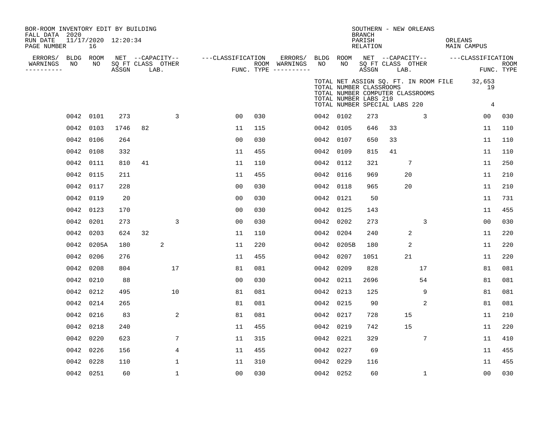| BOR-ROOM INVENTORY EDIT BY BUILDING<br>FALL DATA 2020<br>RUN DATE |                 | 11/17/2020 12:20:34 |       |                                       |             |                   |     |                          |                 |                                                                                   | <b>BRANCH</b><br>PARISH |                   | SOUTHERN - NEW ORLEANS                                                    | ORLEANS |                                |            |
|-------------------------------------------------------------------|-----------------|---------------------|-------|---------------------------------------|-------------|-------------------|-----|--------------------------|-----------------|-----------------------------------------------------------------------------------|-------------------------|-------------------|---------------------------------------------------------------------------|---------|--------------------------------|------------|
| PAGE NUMBER                                                       |                 | 16                  |       |                                       |             |                   |     |                          |                 |                                                                                   | RELATION                |                   |                                                                           |         | MAIN CAMPUS                    |            |
| ERRORS/<br>WARNINGS                                               | BLDG ROOM<br>NO | NO                  |       | NET --CAPACITY--<br>SQ FT CLASS OTHER |             | ---CLASSIFICATION |     | ERRORS/<br>ROOM WARNINGS | BLDG ROOM<br>NO | NO                                                                                |                         | SQ FT CLASS OTHER | NET --CAPACITY--                                                          |         | ---CLASSIFICATION              | ROOM       |
| ----------                                                        |                 |                     | ASSGN | LAB.                                  |             |                   |     | FUNC. TYPE $------$      |                 |                                                                                   | ASSGN                   | LAB.              |                                                                           |         |                                | FUNC. TYPE |
|                                                                   |                 |                     |       |                                       |             |                   |     |                          |                 | TOTAL NUMBER CLASSROOMS<br>TOTAL NUMBER LABS 210<br>TOTAL NUMBER SPECIAL LABS 220 |                         |                   | TOTAL NET ASSIGN SQ. FT. IN ROOM FILE<br>TOTAL NUMBER COMPUTER CLASSROOMS |         | 32,653<br>19<br>$\overline{4}$ |            |
|                                                                   | 0042            | 0101                | 273   |                                       | 3           | 00                | 030 |                          | 0042 0102       |                                                                                   | 273                     |                   | 3                                                                         |         | 00                             | 030        |
|                                                                   | 0042            | 0103                | 1746  | 82                                    |             | 11                | 115 |                          | 0042 0105       |                                                                                   | 646                     | 33                |                                                                           |         | 11                             | 110        |
|                                                                   | 0042            | 0106                | 264   |                                       |             | 0 <sub>0</sub>    | 030 |                          | 0042 0107       |                                                                                   | 650                     | 33                |                                                                           |         | 11                             | 110        |
|                                                                   | 0042            | 0108                | 332   |                                       |             | 11                | 455 |                          | 0042 0109       |                                                                                   | 815                     | 41                |                                                                           |         | 11                             | 110        |
|                                                                   | 0042            | 0111                | 810   | 41                                    |             | 11                | 110 |                          | 0042 0112       |                                                                                   | 321                     |                   | 7                                                                         |         | 11                             | 250        |
|                                                                   | 0042            | 0115                | 211   |                                       |             | 11                | 455 |                          | 0042 0116       |                                                                                   | 969                     |                   | 20                                                                        |         | 11                             | 210        |
|                                                                   | 0042            | 0117                | 228   |                                       |             | 0 <sub>0</sub>    | 030 |                          | 0042 0118       |                                                                                   | 965                     |                   | 20                                                                        |         | 11                             | 210        |
|                                                                   | 0042            | 0119                | 20    |                                       |             | 0 <sub>0</sub>    | 030 |                          | 0042 0121       |                                                                                   | 50                      |                   |                                                                           |         | 11                             | 731        |
|                                                                   | 0042            | 0123                | 170   |                                       |             | 0 <sub>0</sub>    | 030 |                          | 0042 0125       |                                                                                   | 143                     |                   |                                                                           |         | 11                             | 455        |
|                                                                   | 0042            | 0201                | 273   |                                       | 3           | 0 <sub>0</sub>    | 030 |                          | 0042 0202       |                                                                                   | 273                     |                   | 3                                                                         |         | 0 <sub>0</sub>                 | 030        |
|                                                                   | 0042            | 0203                | 624   | 32                                    |             | 11                | 110 |                          | 0042 0204       |                                                                                   | 240                     |                   | 2                                                                         |         | 11                             | 220        |
|                                                                   | 0042            | 0205A               | 180   | $\sqrt{2}$                            |             | 11                | 220 |                          |                 | 0042 0205B                                                                        | 180                     |                   | 2                                                                         |         | 11                             | 220        |
|                                                                   | 0042            | 0206                | 276   |                                       |             | 11                | 455 |                          | 0042            | 0207                                                                              | 1051                    |                   | 21                                                                        |         | 11                             | 220        |
|                                                                   | 0042            | 0208                | 804   |                                       | 17          | 81                | 081 |                          | 0042 0209       |                                                                                   | 828                     |                   | 17                                                                        |         | 81                             | 081        |
|                                                                   | 0042            | 0210                | 88    |                                       |             | 0 <sub>0</sub>    | 030 |                          | 0042 0211       |                                                                                   | 2696                    |                   | 54                                                                        |         | 81                             | 081        |
|                                                                   | 0042            | 0212                | 495   |                                       | 10          | 81                | 081 |                          | 0042 0213       |                                                                                   | 125                     |                   | 9                                                                         |         | 81                             | 081        |
|                                                                   | 0042            | 0214                | 265   |                                       |             | 81                | 081 |                          | 0042 0215       |                                                                                   | 90                      |                   | 2                                                                         |         | 81                             | 081        |
|                                                                   | 0042            | 0216                | 83    |                                       | 2           | 81                | 081 |                          | 0042 0217       |                                                                                   | 728                     |                   | 15                                                                        |         | 11                             | 210        |
|                                                                   | 0042            | 0218                | 240   |                                       |             | 11                | 455 |                          | 0042 0219       |                                                                                   | 742                     |                   | 15                                                                        |         | 11                             | 220        |
|                                                                   | 0042            | 0220                | 623   |                                       | 7           | 11                | 315 |                          | 0042 0221       |                                                                                   | 329                     |                   | 7                                                                         |         | 11                             | 410        |
|                                                                   | 0042            | 0226                | 156   |                                       | 4           | 11                | 455 |                          | 0042 0227       |                                                                                   | 69                      |                   |                                                                           |         | 11                             | 455        |
|                                                                   | 0042            | 0228                | 110   |                                       | $\mathbf 1$ | 11                | 310 |                          | 0042 0229       |                                                                                   | 116                     |                   |                                                                           |         | 11                             | 455        |
|                                                                   | 0042 0251       |                     | 60    |                                       | 1           | 0 <sub>0</sub>    | 030 |                          | 0042 0252       |                                                                                   | 60                      |                   | $\mathbf{1}$                                                              |         | 0 <sub>0</sub>                 | 030        |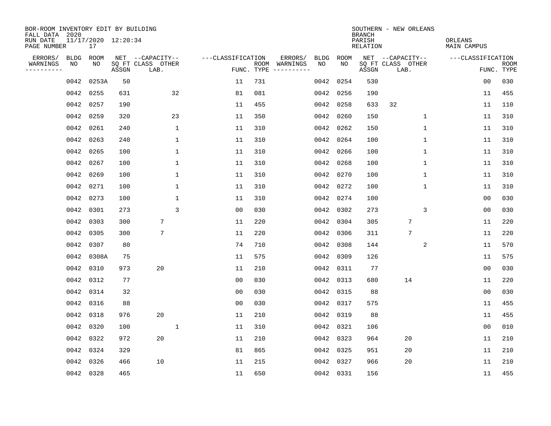| BOR-ROOM INVENTORY EDIT BY BUILDING<br>FALL DATA 2020 |      |           |                     |                           |                   |     |                                      |      |           | <b>BRANCH</b>      | SOUTHERN - NEW ORLEANS    |                        |                           |  |
|-------------------------------------------------------|------|-----------|---------------------|---------------------------|-------------------|-----|--------------------------------------|------|-----------|--------------------|---------------------------|------------------------|---------------------------|--|
| RUN DATE<br>PAGE NUMBER                               |      | 17        | 11/17/2020 12:20:34 |                           |                   |     |                                      |      |           | PARISH<br>RELATION |                           | ORLEANS<br>MAIN CAMPUS |                           |  |
| ERRORS/                                               | BLDG | ROOM      |                     | NET --CAPACITY--          | ---CLASSIFICATION |     | ERRORS/                              | BLDG | ROOM      |                    | NET --CAPACITY--          | ---CLASSIFICATION      |                           |  |
| WARNINGS<br>----------                                | NO   | NO        | ASSGN               | SQ FT CLASS OTHER<br>LAB. |                   |     | ROOM WARNINGS<br>FUNC. TYPE $------$ | NO   | NO.       | ASSGN              | SQ FT CLASS OTHER<br>LAB. |                        | <b>ROOM</b><br>FUNC. TYPE |  |
|                                                       | 0042 | 0253A     | 50                  |                           | 11                | 731 |                                      | 0042 | 0254      | 530                |                           | 0 <sub>0</sub>         | 030                       |  |
|                                                       | 0042 | 0255      | 631                 | 32                        | 81                | 081 |                                      | 0042 | 0256      | 190                |                           | 11                     | 455                       |  |
|                                                       | 0042 | 0257      | 190                 |                           | 11                | 455 |                                      | 0042 | 0258      | 633                | 32                        | 11                     | 110                       |  |
|                                                       | 0042 | 0259      | 320                 | 23                        | 11                | 350 |                                      | 0042 | 0260      | 150                | 1                         | 11                     | 310                       |  |
|                                                       | 0042 | 0261      | 240                 | 1                         | 11                | 310 |                                      |      | 0042 0262 | 150                | 1                         | 11                     | 310                       |  |
|                                                       | 0042 | 0263      | 240                 | $\mathbf 1$               | 11                | 310 |                                      |      | 0042 0264 | 100                | 1                         | 11                     | 310                       |  |
|                                                       | 0042 | 0265      | 100                 | $\mathbf 1$               | 11                | 310 |                                      |      | 0042 0266 | 100                | 1                         | 11                     | 310                       |  |
|                                                       | 0042 | 0267      | 100                 | $\mathbf{1}$              | 11                | 310 |                                      |      | 0042 0268 | 100                | 1                         | 11                     | 310                       |  |
|                                                       | 0042 | 0269      | 100                 | $\mathbf{1}$              | 11                | 310 |                                      |      | 0042 0270 | 100                | $\mathbf{1}$              | 11                     | 310                       |  |
|                                                       |      | 0042 0271 | 100                 | $\mathbf 1$               | 11                | 310 |                                      |      | 0042 0272 | 100                | $\mathbf 1$               | 11                     | 310                       |  |
|                                                       |      | 0042 0273 | 100                 | $\mathbf 1$               | 11                | 310 |                                      |      | 0042 0274 | 100                |                           | 0 <sub>0</sub>         | 030                       |  |
|                                                       | 0042 | 0301      | 273                 | 3                         | 0 <sub>0</sub>    | 030 |                                      |      | 0042 0302 | 273                | 3                         | 0 <sub>0</sub>         | 030                       |  |
|                                                       | 0042 | 0303      | 300                 | 7                         | 11                | 220 |                                      | 0042 | 0304      | 305                | 7                         | 11                     | 220                       |  |
|                                                       | 0042 | 0305      | 300                 | 7                         | 11                | 220 |                                      |      | 0042 0306 | 311                | 7                         | 11                     | 220                       |  |
|                                                       | 0042 | 0307      | 80                  |                           | 74                | 710 |                                      | 0042 | 0308      | 144                | 2                         | 11                     | 570                       |  |
|                                                       | 0042 | 0308A     | 75                  |                           | 11                | 575 |                                      | 0042 | 0309      | 126                |                           | 11                     | 575                       |  |
|                                                       | 0042 | 0310      | 973                 | 20                        | 11                | 210 |                                      | 0042 | 0311      | 77                 |                           | 0 <sub>0</sub>         | 030                       |  |
|                                                       | 0042 | 0312      | 77                  |                           | 0 <sub>0</sub>    | 030 |                                      |      | 0042 0313 | 680                | 14                        | 11                     | 220                       |  |
|                                                       |      | 0042 0314 | 32                  |                           | 0 <sub>0</sub>    | 030 |                                      |      | 0042 0315 | 88                 |                           | 0 <sub>0</sub>         | 030                       |  |
|                                                       |      | 0042 0316 | 88                  |                           | 0 <sub>0</sub>    | 030 |                                      |      | 0042 0317 | 575                |                           | 11                     | 455                       |  |
|                                                       |      | 0042 0318 | 976                 | 20                        | 11                | 210 |                                      |      | 0042 0319 | 88                 |                           | 11                     | 455                       |  |
|                                                       | 0042 | 0320      | 100                 | $\mathbf{1}$              | 11                | 310 |                                      | 0042 | 0321      | 106                |                           | 0 <sub>0</sub>         | 010                       |  |
|                                                       |      | 0042 0322 | 972                 | 20                        | 11                | 210 |                                      |      | 0042 0323 | 964                | 20                        | 11                     | 210                       |  |
|                                                       | 0042 | 0324      | 329                 |                           | 81                | 865 |                                      |      | 0042 0325 | 951                | 20                        | 11                     | 210                       |  |
|                                                       | 0042 | 0326      | 466                 | 10                        | 11                | 215 |                                      |      | 0042 0327 | 966                | 20                        | 11                     | 210                       |  |
|                                                       |      | 0042 0328 | 465                 |                           | 11                | 650 |                                      |      | 0042 0331 | 156                |                           | 11                     | 455                       |  |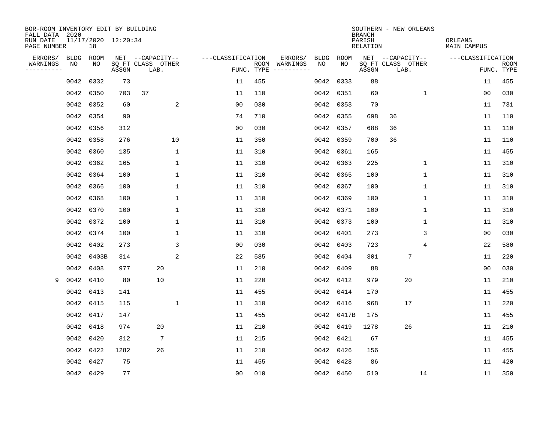| BOR-ROOM INVENTORY EDIT BY BUILDING<br>FALL DATA 2020 |             |                           |       |                           |                   |            |                                    |             | <b>BRANCH</b>      | SOUTHERN - NEW ORLEANS    |                               |                           |
|-------------------------------------------------------|-------------|---------------------------|-------|---------------------------|-------------------|------------|------------------------------------|-------------|--------------------|---------------------------|-------------------------------|---------------------------|
| RUN DATE<br>PAGE NUMBER                               |             | 11/17/2020 12:20:34<br>18 |       |                           |                   |            |                                    |             | PARISH<br>RELATION |                           | ORLEANS<br><b>MAIN CAMPUS</b> |                           |
| ERRORS/                                               | <b>BLDG</b> | <b>ROOM</b>               |       | NET --CAPACITY--          | ---CLASSIFICATION |            | ERRORS/<br><b>BLDG</b>             | <b>ROOM</b> |                    | NET --CAPACITY--          | ---CLASSIFICATION             |                           |
| WARNINGS<br>----------                                | NO          | NO                        | ASSGN | SQ FT CLASS OTHER<br>LAB. |                   | FUNC. TYPE | NO<br>ROOM WARNINGS<br>----------- | NO          | ASSGN              | SQ FT CLASS OTHER<br>LAB. |                               | <b>ROOM</b><br>FUNC. TYPE |
|                                                       | 0042        | 0332                      | 73    |                           | 11                | 455        | 0042                               | 0333        | 88                 |                           | 11                            | 455                       |
|                                                       | 0042        | 0350                      | 703   | 37                        | 11                | 110        |                                    | 0042 0351   | 60                 | $\mathbf 1$               | 0 <sub>0</sub>                | 030                       |
|                                                       |             | 0042 0352                 | 60    | 2                         | 00                | 030        |                                    | 0042 0353   | 70                 |                           | 11                            | 731                       |
|                                                       |             | 0042 0354                 | 90    |                           | 74                | 710        |                                    | 0042 0355   | 698                | 36                        | 11                            | 110                       |
|                                                       |             | 0042 0356                 | 312   |                           | 0 <sub>0</sub>    | 030        |                                    | 0042 0357   | 688                | 36                        | 11                            | 110                       |
|                                                       |             | 0042 0358                 | 276   | 10                        | 11                | 350        |                                    | 0042 0359   | 700                | 36                        | 11                            | 110                       |
|                                                       |             | 0042 0360                 | 135   | $\mathbf 1$               | 11                | 310        |                                    | 0042 0361   | 165                |                           | 11                            | 455                       |
|                                                       | 0042        | 0362                      | 165   | $\mathbf{1}$              | 11                | 310        |                                    | 0042 0363   | 225                | $\mathbf{1}$              | 11                            | 310                       |
|                                                       | 0042        | 0364                      | 100   | $\mathbf{1}$              | 11                | 310        |                                    | 0042 0365   | 100                | $\mathbf{1}$              | 11                            | 310                       |
|                                                       | 0042        | 0366                      | 100   | 1                         | 11                | 310        |                                    | 0042 0367   | 100                | 1                         | 11                            | 310                       |
|                                                       | 0042        | 0368                      | 100   | 1                         | 11                | 310        |                                    | 0042 0369   | 100                | 1                         | 11                            | 310                       |
|                                                       |             | 0042 0370                 | 100   | 1                         | 11                | 310        |                                    | 0042 0371   | 100                | $\mathbf 1$               | 11                            | 310                       |
|                                                       | 0042        | 0372                      | 100   | 1                         | 11                | 310        |                                    | 0042 0373   | 100                | $\mathbf 1$               | 11                            | 310                       |
|                                                       |             | 0042 0374                 | 100   | 1                         | 11                | 310        |                                    | 0042 0401   | 273                | 3                         | 0 <sub>0</sub>                | 030                       |
|                                                       | 0042        | 0402                      | 273   | 3                         | 00                | 030        |                                    | 0042 0403   | 723                | 4                         | 22                            | 580                       |
|                                                       |             | 0042 0403B                | 314   | 2                         | 22                | 585        |                                    | 0042 0404   | 301                | $\overline{7}$            | 11                            | 220                       |
|                                                       | 0042        | 0408                      | 977   | 20                        | 11                | 210        | 0042                               | 0409        | 88                 |                           | 00                            | 030                       |
| 9                                                     | 0042        | 0410                      | 80    | 10                        | 11                | 220        |                                    | 0042 0412   | 979                | 20                        | 11                            | 210                       |
|                                                       | 0042        | 0413                      | 141   |                           | 11                | 455        | 0042                               | 0414        | 170                |                           | 11                            | 455                       |
|                                                       |             | 0042 0415                 | 115   | 1                         | 11                | 310        | 0042                               | 0416        | 968                | 17                        | 11                            | 220                       |
|                                                       |             | 0042 0417                 | 147   |                           | 11                | 455        |                                    | 0042 0417B  | 175                |                           | 11                            | 455                       |
|                                                       | 0042        | 0418                      | 974   | 20                        | 11                | 210        | 0042                               | 0419        | 1278               | 26                        | 11                            | 210                       |
|                                                       | 0042        | 0420                      | 312   | 7                         | 11                | 215        |                                    | 0042 0421   | 67                 |                           | 11                            | 455                       |
|                                                       |             | 0042 0422                 | 1282  | 26                        | 11                | 210        |                                    | 0042 0426   | 156                |                           | 11                            | 455                       |
|                                                       | 0042        | 0427                      | 75    |                           | 11                | 455        | 0042                               | 0428        | 86                 |                           | 11                            | 420                       |
|                                                       |             | 0042 0429                 | 77    |                           | 00                | 010        |                                    | 0042 0450   | 510                | 14                        | 11                            | 350                       |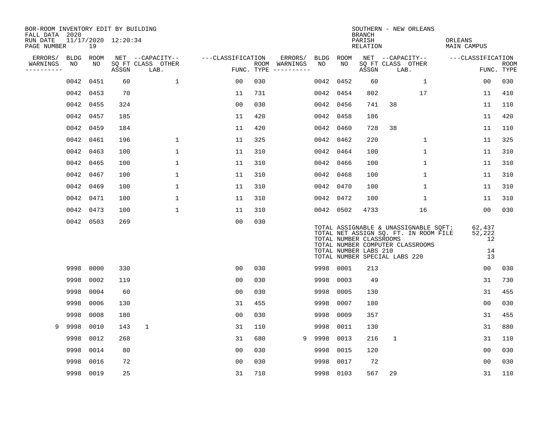| BOR-ROOM INVENTORY EDIT BY BUILDING<br>FALL DATA 2020 |           |           |                     |                           |                   |            |                              |      |           | <b>BRANCH</b>                                    | SOUTHERN - NEW ORLEANS                                                                                                                              |                                    |                           |
|-------------------------------------------------------|-----------|-----------|---------------------|---------------------------|-------------------|------------|------------------------------|------|-----------|--------------------------------------------------|-----------------------------------------------------------------------------------------------------------------------------------------------------|------------------------------------|---------------------------|
| RUN DATE<br>PAGE NUMBER                               |           | 19        | 11/17/2020 12:20:34 |                           |                   |            |                              |      |           | PARISH<br>RELATION                               |                                                                                                                                                     | ORLEANS<br>MAIN CAMPUS             |                           |
| ERRORS/                                               | BLDG ROOM |           |                     | NET --CAPACITY--          | ---CLASSIFICATION |            | ERRORS/                      |      | BLDG ROOM |                                                  | NET --CAPACITY--                                                                                                                                    | ---CLASSIFICATION                  |                           |
| WARNINGS<br>----------                                | NO        | NO        | ASSGN               | SQ FT CLASS OTHER<br>LAB. |                   | FUNC. TYPE | ROOM WARNINGS<br>----------- | NO   | NO        | ASSGN                                            | SQ FT CLASS OTHER<br>LAB.                                                                                                                           |                                    | <b>ROOM</b><br>FUNC. TYPE |
|                                                       | 0042      | 0451      | 60                  | $\mathbf{1}$              | 00                | 030        |                              | 0042 | 0452      | 60                                               | 1                                                                                                                                                   | 00                                 | 030                       |
|                                                       |           | 0042 0453 | 70                  |                           | 11                | 731        |                              |      | 0042 0454 | 802                                              | 17                                                                                                                                                  | 11                                 | 410                       |
|                                                       |           | 0042 0455 | 324                 |                           | 0 <sub>0</sub>    | 030        |                              |      | 0042 0456 | 741                                              | 38                                                                                                                                                  | 11                                 | 110                       |
|                                                       | 0042      | 0457      | 185                 |                           | 11                | 420        |                              |      | 0042 0458 | 186                                              |                                                                                                                                                     | 11                                 | 420                       |
|                                                       | 0042      | 0459      | 184                 |                           | 11                | 420        |                              |      | 0042 0460 | 728                                              | 38                                                                                                                                                  | 11                                 | 110                       |
|                                                       | 0042      | 0461      | 196                 | $\mathbf 1$               | 11                | 325        |                              |      | 0042 0462 | 220                                              | $\mathbf 1$                                                                                                                                         | 11                                 | 325                       |
|                                                       | 0042      | 0463      | 100                 | $\mathbf{1}$              | 11                | 310        |                              |      | 0042 0464 | 100                                              | $\mathbf 1$                                                                                                                                         | 11                                 | 310                       |
|                                                       |           | 0042 0465 | 100                 | $\mathbf{1}$              | 11                | 310        |                              |      | 0042 0466 | 100                                              | $\mathbf{1}$                                                                                                                                        | 11                                 | 310                       |
|                                                       | 0042      | 0467      | 100                 | 1                         | 11                | 310        |                              | 0042 | 0468      | 100                                              | 1                                                                                                                                                   | 11                                 | 310                       |
|                                                       |           | 0042 0469 | 100                 | 1                         | 11                | 310        |                              |      | 0042 0470 | 100                                              | $\mathbf 1$                                                                                                                                         | 11                                 | 310                       |
|                                                       |           | 0042 0471 | 100                 | $\mathbf{1}$              | 11                | 310        |                              |      | 0042 0472 | 100                                              | $\mathbf{1}$                                                                                                                                        | 11                                 | 310                       |
|                                                       |           | 0042 0473 | 100                 | $\mathbf 1$               | 11                | 310        |                              |      | 0042 0502 | 4733                                             | 16                                                                                                                                                  | 00                                 | 030                       |
|                                                       |           | 0042 0503 | 269                 |                           | 0 <sub>0</sub>    | 030        |                              |      |           | TOTAL NUMBER CLASSROOMS<br>TOTAL NUMBER LABS 210 | TOTAL ASSIGNABLE & UNASSIGNABLE SQFT:<br>TOTAL NET ASSIGN SQ. FT. IN ROOM FILE<br>TOTAL NUMBER COMPUTER CLASSROOMS<br>TOTAL NUMBER SPECIAL LABS 220 | 62,437<br>52,222<br>12<br>14<br>13 |                           |
|                                                       | 9998      | 0000      | 330                 |                           | 0 <sub>0</sub>    | 030        |                              |      | 9998 0001 | 213                                              |                                                                                                                                                     | 0 <sub>0</sub>                     | 030                       |
|                                                       | 9998      | 0002      | 119                 |                           | 00                | 030        |                              | 9998 | 0003      | 49                                               |                                                                                                                                                     | 31                                 | 730                       |
|                                                       | 9998      | 0004      | 60                  |                           | 0 <sub>0</sub>    | 030        |                              | 9998 | 0005      | 130                                              |                                                                                                                                                     | 31                                 | 455                       |
|                                                       | 9998      | 0006      | 130                 |                           | 31                | 455        |                              | 9998 | 0007      | 180                                              |                                                                                                                                                     | 00                                 | 030                       |
|                                                       | 9998      | 0008      | 180                 |                           | 0 <sub>0</sub>    | 030        |                              | 9998 | 0009      | 357                                              |                                                                                                                                                     | 31                                 | 455                       |
| 9                                                     | 9998      | 0010      | 143                 | $\mathbf{1}$              | 31                | 110        |                              | 9998 | 0011      | 130                                              |                                                                                                                                                     | 31                                 | 880                       |
|                                                       | 9998      | 0012      | 268                 |                           | 31                | 680        | 9                            | 9998 | 0013      | 216                                              | 1                                                                                                                                                   | 31                                 | 110                       |
|                                                       | 9998      | 0014      | 80                  |                           | 0 <sub>0</sub>    | 030        |                              | 9998 | 0015      | 120                                              |                                                                                                                                                     | 00                                 | 030                       |
|                                                       | 9998      | 0016      | 72                  |                           | 0 <sub>0</sub>    | 030        |                              | 9998 | 0017      | 72                                               |                                                                                                                                                     | 00                                 | 030                       |
|                                                       |           | 9998 0019 | 25                  |                           | 31                | 710        |                              |      | 9998 0103 | 567                                              | 29                                                                                                                                                  | 31                                 | 110                       |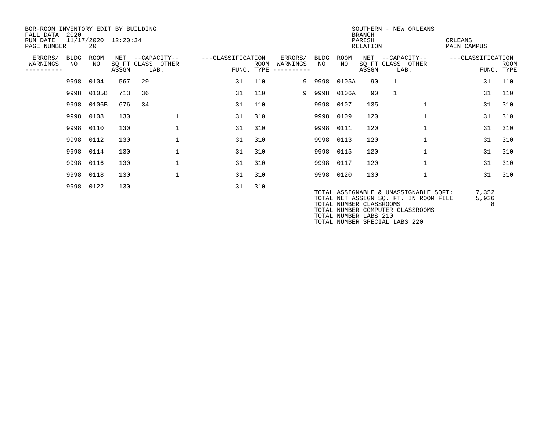| BOR-ROOM INVENTORY EDIT BY BUILDING<br>FALL DATA<br>RUN DATE<br>PAGE NUMBER | 2020              | 11/17/2020 12:20:34<br>20 |       |      |                                       |                   | SOUTHERN - NEW ORLEANS<br><b>BRANCH</b><br>PARISH<br>ORLEANS<br>RELATION<br>MAIN CAMPUS |                                   |            |                                                  |       |                                                                                                                    |                   |                     |             |
|-----------------------------------------------------------------------------|-------------------|---------------------------|-------|------|---------------------------------------|-------------------|-----------------------------------------------------------------------------------------|-----------------------------------|------------|--------------------------------------------------|-------|--------------------------------------------------------------------------------------------------------------------|-------------------|---------------------|-------------|
| ERRORS/<br>WARNINGS<br>---------                                            | <b>BLDG</b><br>NO | ROOM<br>NO.               | ASSGN | LAB. | NET --CAPACITY--<br>SQ FT CLASS OTHER | ---CLASSIFICATION | ROOM<br>FUNC. TYPE                                                                      | ERRORS/<br>WARNINGS<br>---------- | BLDG<br>NO | ROOM<br>NO                                       | ASSGN | NET --CAPACITY--<br>SQ FT CLASS OTHER<br>LAB.                                                                      | ---CLASSIFICATION | FUNC. TYPE          | <b>ROOM</b> |
|                                                                             |                   | 9998 0104                 | 567   | 29   |                                       | 31                | 110                                                                                     |                                   | 9 9998     | 0105A                                            | 90    | 1                                                                                                                  |                   | 31                  | 110         |
|                                                                             | 9998              | 0105B                     | 713   | 36   |                                       | 31                | 110                                                                                     | 9                                 | 9998       | 0106A                                            | 90    | 1                                                                                                                  |                   | 31                  | 110         |
|                                                                             | 9998              | 0106B                     | 676   | 34   |                                       | 31                | 110                                                                                     |                                   | 9998       | 0107                                             | 135   |                                                                                                                    |                   | 31                  | 310         |
|                                                                             |                   | 9998 0108                 | 130   |      | 1                                     | 31                | 310                                                                                     |                                   | 9998       | 0109                                             | 120   |                                                                                                                    |                   | 31                  | 310         |
|                                                                             | 9998              | 0110                      | 130   |      | 1                                     | 31                | 310                                                                                     |                                   | 9998       | 0111                                             | 120   |                                                                                                                    |                   | 31                  | 310         |
|                                                                             |                   | 9998 0112                 | 130   |      | $\mathbf{1}$                          | 31                | 310                                                                                     |                                   | 9998       | 0113                                             | 120   |                                                                                                                    |                   | 31                  | 310         |
|                                                                             |                   | 9998 0114                 | 130   |      | $\mathbf{1}$                          | 31                | 310                                                                                     |                                   |            | 9998 0115                                        | 120   |                                                                                                                    |                   | 31                  | 310         |
|                                                                             |                   | 9998 0116                 | 130   |      |                                       | 31                | 310                                                                                     |                                   |            | 9998 0117                                        | 120   |                                                                                                                    |                   | 31                  | 310         |
|                                                                             |                   | 9998 0118                 | 130   |      | $\mathbf{1}$                          | 31                | 310                                                                                     |                                   |            | 9998 0120                                        | 130   |                                                                                                                    |                   | 31                  | 310         |
|                                                                             |                   | 9998 0122                 | 130   |      |                                       | 31                | 310                                                                                     |                                   |            | TOTAL NUMBER CLASSROOMS<br>TOTAL NUMBER LABS 210 |       | TOTAL ASSIGNABLE & UNASSIGNABLE SQFT:<br>TOTAL NET ASSIGN SQ. FT. IN ROOM FILE<br>TOTAL NUMBER COMPUTER CLASSROOMS |                   | 7,352<br>5,926<br>8 |             |

TOTAL NUMBER SPECIAL LABS 220